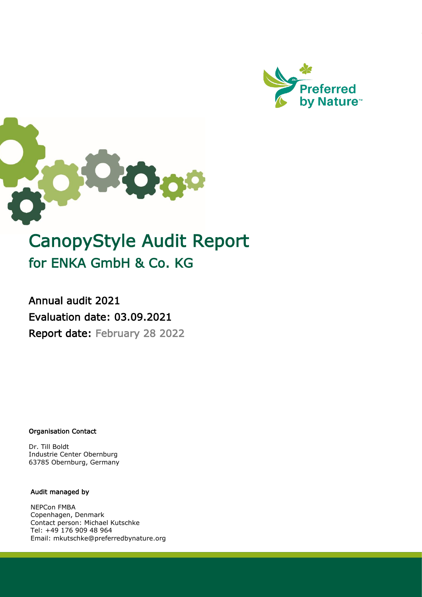



# CanopyStyle Audit Report for ENKA GmbH & Co. KG

Annual audit 2021 Evaluation date: 03.09.2021 Report date: February 28 2022

Organisation Contact

Dr. Till Boldt Industrie Center Obernburg 63785 Obernburg, Germany

#### Audit managed by

NEPCon FMBA Copenhagen, Denmark Contact person: Michael Kutschke Tel: +49 176 909 48 964 Email: mkutschke@preferredbynature.org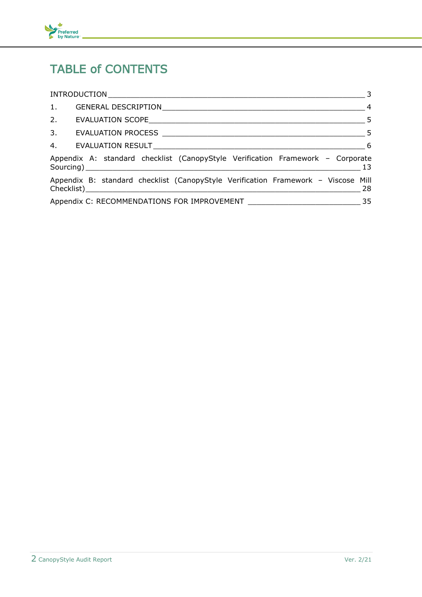

## TABLE of CONTENTS

|                                                                                   | $\overline{\phantom{a}}$ 3 |
|-----------------------------------------------------------------------------------|----------------------------|
| 1.                                                                                |                            |
|                                                                                   |                            |
|                                                                                   |                            |
|                                                                                   |                            |
| Appendix A: standard checklist (CanopyStyle Verification Framework - Corporate    |                            |
| Appendix B: standard checklist (CanopyStyle Verification Framework - Viscose Mill |                            |
|                                                                                   | 35                         |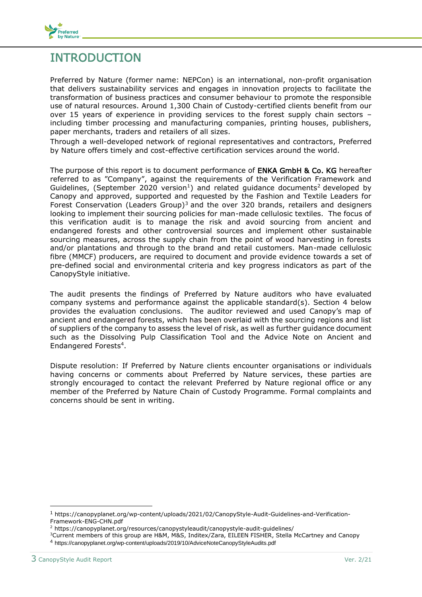

## <span id="page-2-0"></span>INTRODUCTION

Preferred by Nature (former name: NEPCon) is an international, non-profit organisation that delivers sustainability services and engages in innovation projects to facilitate the transformation of business practices and consumer behaviour to promote the responsible use of natural resources. Around 1,300 Chain of Custody-certified clients benefit from our over 15 years of experience in providing services to the forest supply chain sectors – including timber processing and manufacturing companies, printing houses, publishers, paper merchants, traders and retailers of all sizes.

Through a well-developed network of regional representatives and contractors, Preferred by Nature offers timely and cost-effective certification services around the world.

The purpose of this report is to document performance of **ENKA GmbH & Co. KG** hereafter referred to as "Company", against the requirements of the Verification Framework and Guidelines, (September 2020 version<sup>1</sup>) and related guidance documents<sup>2</sup> developed by Canopy and approved, supported and requested by the Fashion and Textile Leaders for Forest Conservation (Leaders Group)<sup>3</sup> and the over 320 brands, retailers and designers looking to implement their sourcing policies for man-made cellulosic textiles. The focus of this verification audit is to manage the risk and avoid sourcing from ancient and endangered forests and other controversial sources and implement other sustainable sourcing measures, across the supply chain from the point of wood harvesting in forests and/or plantations and through to the brand and retail customers. Man-made cellulosic fibre (MMCF) producers, are required to document and provide evidence towards a set of pre-defined social and environmental criteria and key progress indicators as part of the CanopyStyle initiative.

The audit presents the findings of Preferred by Nature auditors who have evaluated company systems and performance against the applicable standard(s). Section 4 below provides the evaluation conclusions. The auditor reviewed and used Canopy's map of ancient and endangered forests, which has been overlaid with the sourcing regions and list of suppliers of the company to assess the level of risk, as well as further guidance document such as the Dissolving Pulp Classification Tool and the Advice Note on Ancient and Endangered Forests<sup>4</sup> .

Dispute resolution: If Preferred by Nature clients encounter organisations or individuals having concerns or comments about Preferred by Nature services, these parties are strongly encouraged to contact the relevant Preferred by Nature regional office or any member of the Preferred by Nature Chain of Custody Programme. Formal complaints and concerns should be sent in writing.

<sup>1</sup> https://canopyplanet.org/wp-content/uploads/2021/02/CanopyStyle-Audit-Guidelines-and-Verification-Framework-ENG-CHN.pdf

<sup>&</sup>lt;sup>2</sup> https://canopyplanet.org/resources/canopystyleaudit/canopystyle-audit-guidelines/

<sup>3</sup>Current members of this group are H&M, M&S, Inditex/Zara, EILEEN FISHER, Stella McCartney and Canopy <sup>4</sup> https://canopyplanet.org/wp-content/uploads/2019/10/AdviceNoteCanopyStyleAudits.pdf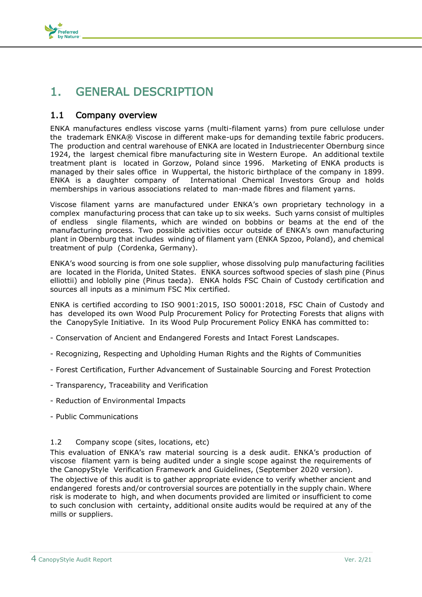

## <span id="page-3-0"></span>1. GENERAL DESCRIPTION

#### 1.1 Company overview

ENKA manufactures endless viscose yarns (multi-filament yarns) from pure cellulose under the trademark ENKA® Viscose in different make-ups for demanding textile fabric producers. The production and central warehouse of ENKA are located in Industriecenter Obernburg since 1924, the largest chemical fibre manufacturing site in Western Europe. An additional textile treatment plant is located in Gorzow, Poland since 1996. Marketing of ENKA products is managed by their sales office in Wuppertal, the historic birthplace of the company in 1899. ENKA is a daughter company of International Chemical Investors Group and holds memberships in various associations related to man-made fibres and filament yarns.

Viscose filament yarns are manufactured under ENKA's own proprietary technology in a complex manufacturing process that can take up to six weeks. Such yarns consist of multiples of endless single filaments, which are winded on bobbins or beams at the end of the manufacturing process. Two possible activities occur outside of ENKA's own manufacturing plant in Obernburg that includes winding of filament yarn (ENKA Spzoo, Poland), and chemical treatment of pulp (Cordenka, Germany).

ENKA's wood sourcing is from one sole supplier, whose dissolving pulp manufacturing facilities are located in the Florida, United States. ENKA sources softwood species of slash pine (Pinus elliottii) and loblolly pine (Pinus taeda). ENKA holds FSC Chain of Custody certification and sources all inputs as a minimum FSC Mix certified.

ENKA is certified according to ISO 9001:2015, ISO 50001:2018, FSC Chain of Custody and has developed its own Wood Pulp Procurement Policy for Protecting Forests that aligns with the CanopySyle Initiative. In its Wood Pulp Procurement Policy ENKA has committed to:

- Conservation of Ancient and Endangered Forests and Intact Forest Landscapes.
- Recognizing, Respecting and Upholding Human Rights and the Rights of Communities
- Forest Certification, Further Advancement of Sustainable Sourcing and Forest Protection
- Transparency, Traceability and Verification
- Reduction of Environmental Impacts
- Public Communications

#### 1.2 Company scope (sites, locations, etc)

This evaluation of ENKA's raw material sourcing is a desk audit. ENKA's production of viscose filament yarn is being audited under a single scope against the requirements of the CanopyStyle Verification Framework and Guidelines, (September 2020 version).

The objective of this audit is to gather appropriate evidence to verify whether ancient and endangered forests and/or controversial sources are potentially in the supply chain. Where risk is moderate to high, and when documents provided are limited or insufficient to come to such conclusion with certainty, additional onsite audits would be required at any of the mills or suppliers.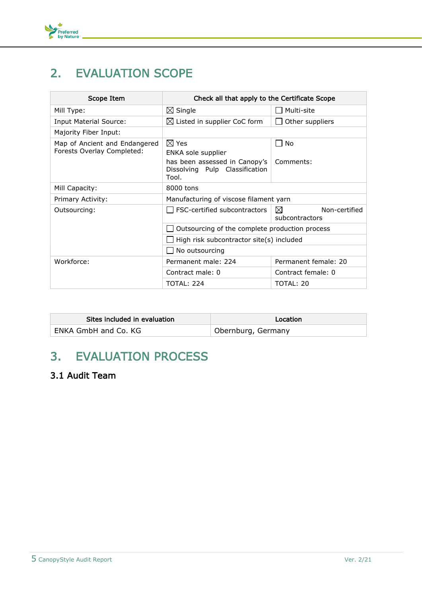

## <span id="page-4-0"></span>2. EVALUATION SCOPE

| Scope Item                                                  | Check all that apply to the Certificate Scope                            |                                              |
|-------------------------------------------------------------|--------------------------------------------------------------------------|----------------------------------------------|
| Mill Type:                                                  | $\boxtimes$ Single                                                       | Multi-site                                   |
| <b>Input Material Source:</b>                               | $\boxtimes$ Listed in supplier CoC form                                  | Other suppliers                              |
| Majority Fiber Input:                                       |                                                                          |                                              |
| Map of Ancient and Endangered<br>Forests Overlay Completed: | $\boxtimes$ Yes<br>ENKA sole supplier                                    | l No                                         |
|                                                             | has been assessed in Canopy's<br>Dissolving Pulp Classification<br>Tool. | Comments:                                    |
| Mill Capacity:                                              | 8000 tons                                                                |                                              |
| Primary Activity:                                           | Manufacturing of viscose filament yarn                                   |                                              |
| Outsourcing:                                                | FSC-certified subcontractors                                             | $\bowtie$<br>Non-certified<br>subcontractors |
|                                                             | Outsourcing of the complete production process                           |                                              |
|                                                             | High risk subcontractor site(s) included                                 |                                              |
|                                                             | No outsourcing                                                           |                                              |
| Workforce:                                                  | Permanent male: 224                                                      | Permanent female: 20                         |
|                                                             | Contract male: 0                                                         | Contract female: 0                           |
|                                                             | <b>TOTAL: 224</b>                                                        | TOTAL: 20                                    |

| Sites included in evaluation | Location           |
|------------------------------|--------------------|
| ENKA GmbH and Co. KG         | Obernburg, Germany |

## <span id="page-4-1"></span>3. EVALUATION PROCESS

### 3.1 Audit Team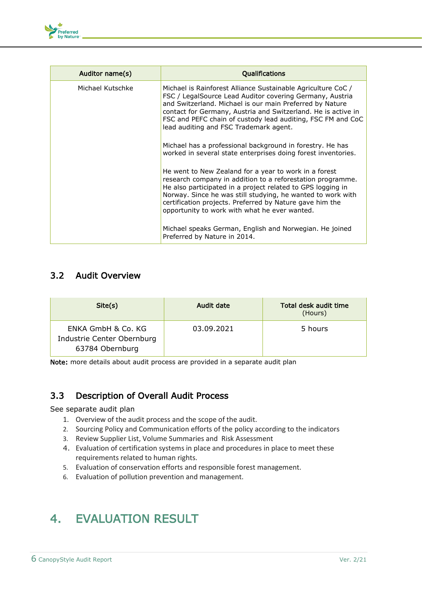

| Auditor name(s)  | <b>Oualifications</b>                                                                                                                                                                                                                                                                                                                                          |
|------------------|----------------------------------------------------------------------------------------------------------------------------------------------------------------------------------------------------------------------------------------------------------------------------------------------------------------------------------------------------------------|
| Michael Kutschke | Michael is Rainforest Alliance Sustainable Agriculture CoC /<br>FSC / LegalSource Lead Auditor covering Germany, Austria<br>and Switzerland. Michael is our main Preferred by Nature<br>contact for Germany, Austria and Switzerland. He is active in<br>FSC and PEFC chain of custody lead auditing, FSC FM and CoC<br>lead auditing and FSC Trademark agent. |
|                  | Michael has a professional background in forestry. He has<br>worked in several state enterprises doing forest inventories.                                                                                                                                                                                                                                     |
|                  | He went to New Zealand for a year to work in a forest<br>research company in addition to a reforestation programme.<br>He also participated in a project related to GPS logging in<br>Norway. Since he was still studying, he wanted to work with<br>certification projects. Preferred by Nature gave him the<br>opportunity to work with what he ever wanted. |
|                  | Michael speaks German, English and Norwegian. He joined<br>Preferred by Nature in 2014.                                                                                                                                                                                                                                                                        |

### 3.2 Audit Overview

| Site(s)                                                             | Audit date | Total desk audit time<br>(Hours) |
|---------------------------------------------------------------------|------------|----------------------------------|
| ENKA GmbH & Co. KG<br>Industrie Center Obernburg<br>63784 Obernburg | 03.09.2021 | 5 hours                          |

Note: more details about audit process are provided in a separate audit plan

### 3.3 Description of Overall Audit Process

#### See separate audit plan

- 1. Overview of the audit process and the scope of the audit.
- 2. Sourcing Policy and Communication efforts of the policy according to the indicators
- 3. Review Supplier List, Volume Summaries and Risk Assessment
- 4. Evaluation of certification systems in place and procedures in place to meet these requirements related to human rights.
- 5. Evaluation of conservation efforts and responsible forest management.
- 6. Evaluation of pollution prevention and management.

## <span id="page-5-0"></span>4. EVALUATION RESULT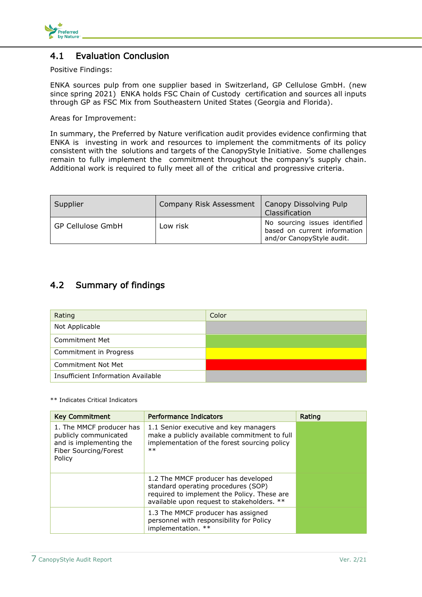

#### 4.1 Evaluation Conclusion

#### Positive Findings:

ENKA sources pulp from one supplier based in Switzerland, GP Cellulose GmbH. (new since spring 2021) ENKA holds FSC Chain of Custody certification and sources all inputs through GP as FSC Mix from Southeastern United States (Georgia and Florida).

Areas for Improvement:

In summary, the Preferred by Nature verification audit provides evidence confirming that ENKA is investing in work and resources to implement the commitments of its policy consistent with the solutions and targets of the CanopyStyle Initiative. Some challenges remain to fully implement the commitment throughout the company's supply chain. Additional work is required to fully meet all of the critical and progressive criteria.

| Supplier                 | Company Risk Assessment | Canopy Dissolving Pulp<br>Classification                                                   |
|--------------------------|-------------------------|--------------------------------------------------------------------------------------------|
| <b>GP Cellulose GmbH</b> | Low risk                | No sourcing issues identified<br>based on current information<br>and/or CanopyStyle audit. |

### 4.2 Summary of findings

| Rating                             | Color |
|------------------------------------|-------|
| Not Applicable                     |       |
| <b>Commitment Met</b>              |       |
| Commitment in Progress             |       |
| <b>Commitment Not Met</b>          |       |
| Insufficient Information Available |       |

\*\* Indicates Critical Indicators

| <b>Key Commitment</b>                                                                                           | <b>Performance Indicators</b>                                                                                                                                           | Rating |
|-----------------------------------------------------------------------------------------------------------------|-------------------------------------------------------------------------------------------------------------------------------------------------------------------------|--------|
| 1. The MMCF producer has<br>publicly communicated<br>and is implementing the<br>Fiber Sourcing/Forest<br>Policy | 1.1 Senior executive and key managers<br>make a publicly available commitment to full<br>implementation of the forest sourcing policy<br>$**$                           |        |
|                                                                                                                 | 1.2 The MMCF producer has developed<br>standard operating procedures (SOP)<br>required to implement the Policy. These are<br>available upon request to stakeholders. ** |        |
|                                                                                                                 | 1.3 The MMCF producer has assigned<br>personnel with responsibility for Policy<br>implementation. **                                                                    |        |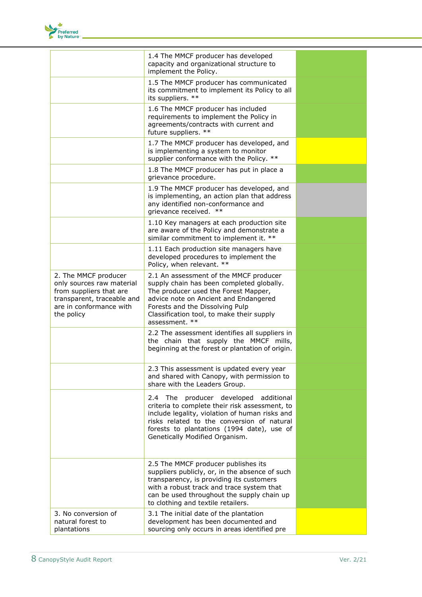

|                                                                                                                                                     | 1.4 The MMCF producer has developed<br>capacity and organizational structure to<br>implement the Policy.                                                                                                                                                                |  |
|-----------------------------------------------------------------------------------------------------------------------------------------------------|-------------------------------------------------------------------------------------------------------------------------------------------------------------------------------------------------------------------------------------------------------------------------|--|
|                                                                                                                                                     | 1.5 The MMCF producer has communicated<br>its commitment to implement its Policy to all<br>its suppliers. **                                                                                                                                                            |  |
|                                                                                                                                                     | 1.6 The MMCF producer has included<br>requirements to implement the Policy in<br>agreements/contracts with current and<br>future suppliers. **                                                                                                                          |  |
|                                                                                                                                                     | 1.7 The MMCF producer has developed, and<br>is implementing a system to monitor<br>supplier conformance with the Policy. **                                                                                                                                             |  |
|                                                                                                                                                     | 1.8 The MMCF producer has put in place a<br>grievance procedure.                                                                                                                                                                                                        |  |
|                                                                                                                                                     | 1.9 The MMCF producer has developed, and<br>is implementing, an action plan that address<br>any identified non-conformance and<br>grievance received. **                                                                                                                |  |
|                                                                                                                                                     | 1.10 Key managers at each production site<br>are aware of the Policy and demonstrate a<br>similar commitment to implement it. **                                                                                                                                        |  |
|                                                                                                                                                     | 1.11 Each production site managers have<br>developed procedures to implement the<br>Policy, when relevant. **                                                                                                                                                           |  |
| 2. The MMCF producer<br>only sources raw material<br>from suppliers that are<br>transparent, traceable and<br>are in conformance with<br>the policy | 2.1 An assessment of the MMCF producer<br>supply chain has been completed globally.<br>The producer used the Forest Mapper,<br>advice note on Ancient and Endangered<br>Forests and the Dissolving Pulp<br>Classification tool, to make their supply<br>assessment. **  |  |
|                                                                                                                                                     | 2.2 The assessment identifies all suppliers in<br>the chain that supply the MMCF mills,<br>beginning at the forest or plantation of origin.                                                                                                                             |  |
|                                                                                                                                                     | 2.3 This assessment is updated every year<br>and shared with Canopy, with permission to<br>share with the Leaders Group.                                                                                                                                                |  |
|                                                                                                                                                     | 2.4 The producer developed additional<br>criteria to complete their risk assessment, to<br>include legality, violation of human risks and<br>risks related to the conversion of natural<br>forests to plantations (1994 date), use of<br>Genetically Modified Organism. |  |
|                                                                                                                                                     | 2.5 The MMCF producer publishes its<br>suppliers publicly, or, in the absence of such<br>transparency, is providing its customers<br>with a robust track and trace system that<br>can be used throughout the supply chain up<br>to clothing and textile retailers.      |  |
| 3. No conversion of<br>natural forest to<br>plantations                                                                                             | 3.1 The initial date of the plantation<br>development has been documented and<br>sourcing only occurs in areas identified pre                                                                                                                                           |  |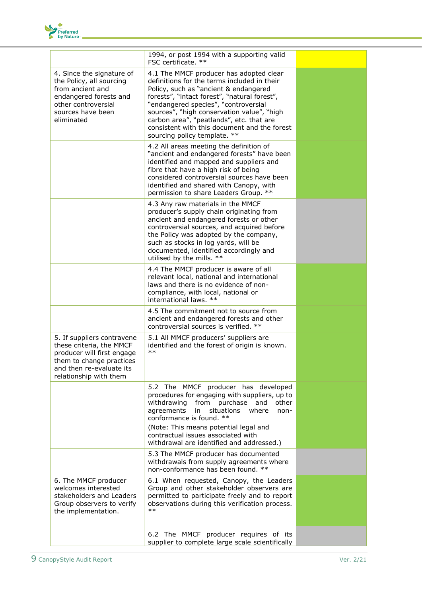

|                                                                                                                                                                        | 1994, or post 1994 with a supporting valid<br>FSC certificate. **                                                                                                                                                                                                                                                                                                                                 |  |
|------------------------------------------------------------------------------------------------------------------------------------------------------------------------|---------------------------------------------------------------------------------------------------------------------------------------------------------------------------------------------------------------------------------------------------------------------------------------------------------------------------------------------------------------------------------------------------|--|
| 4. Since the signature of<br>the Policy, all sourcing<br>from ancient and<br>endangered forests and<br>other controversial<br>sources have been<br>eliminated          | 4.1 The MMCF producer has adopted clear<br>definitions for the terms included in their<br>Policy, such as "ancient & endangered<br>forests", "intact forest", "natural forest",<br>"endangered species", "controversial<br>sources", "high conservation value", "high<br>carbon area", "peatlands", etc. that are<br>consistent with this document and the forest<br>sourcing policy template. ** |  |
|                                                                                                                                                                        | 4.2 All areas meeting the definition of<br>"ancient and endangered forests" have been<br>identified and mapped and suppliers and<br>fibre that have a high risk of being<br>considered controversial sources have been<br>identified and shared with Canopy, with<br>permission to share Leaders Group. **                                                                                        |  |
|                                                                                                                                                                        | 4.3 Any raw materials in the MMCF<br>producer's supply chain originating from<br>ancient and endangered forests or other<br>controversial sources, and acquired before<br>the Policy was adopted by the company,<br>such as stocks in log yards, will be<br>documented, identified accordingly and<br>utilised by the mills. **                                                                   |  |
|                                                                                                                                                                        | 4.4 The MMCF producer is aware of all<br>relevant local, national and international<br>laws and there is no evidence of non-<br>compliance, with local, national or<br>international laws. **                                                                                                                                                                                                     |  |
|                                                                                                                                                                        | 4.5 The commitment not to source from<br>ancient and endangered forests and other<br>controversial sources is verified. **                                                                                                                                                                                                                                                                        |  |
| 5. If suppliers contravene<br>these criteria, the MMCF<br>producer will first engage<br>them to change practices<br>and then re-evaluate its<br>relationship with them | 5.1 All MMCF producers' suppliers are<br>identified and the forest of origin is known.<br>$***$                                                                                                                                                                                                                                                                                                   |  |
|                                                                                                                                                                        | 5.2 The MMCF producer has developed<br>procedures for engaging with suppliers, up to<br>from purchase<br>withdrawing<br>and<br>other<br>agreements<br>situations<br>in<br>where<br>non-<br>conformance is found. **<br>(Note: This means potential legal and<br>contractual issues associated with<br>withdrawal are identified and addressed.)                                                   |  |
|                                                                                                                                                                        | 5.3 The MMCF producer has documented<br>withdrawals from supply agreements where<br>non-conformance has been found. **                                                                                                                                                                                                                                                                            |  |
| 6. The MMCF producer<br>welcomes interested<br>stakeholders and Leaders<br>Group observers to verify<br>the implementation.                                            | 6.1 When requested, Canopy, the Leaders<br>Group and other stakeholder observers are<br>permitted to participate freely and to report<br>observations during this verification process.<br>$***$                                                                                                                                                                                                  |  |
|                                                                                                                                                                        | 6.2 The MMCF producer requires of its<br>supplier to complete large scale scientifically                                                                                                                                                                                                                                                                                                          |  |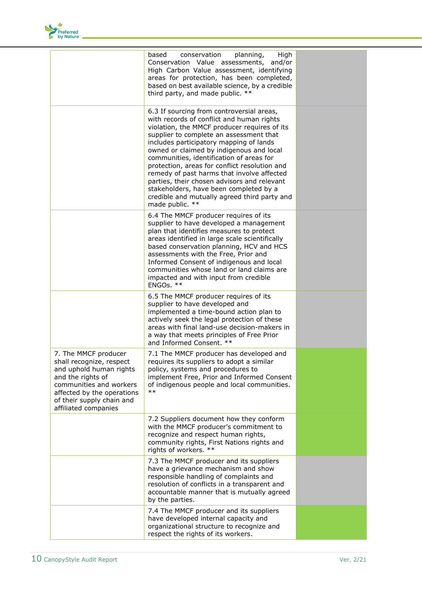

|                                                                                                                                                                                                                | based<br>conservation<br>planning,<br>High<br>Conservation Value assessments,<br>and/or<br>High Carbon Value assessment, identifying<br>areas for protection, has been completed,<br>based on best available science, by a credible<br>third party, and made public. **                                                                                                                                                                                                                                                                                                         |  |
|----------------------------------------------------------------------------------------------------------------------------------------------------------------------------------------------------------------|---------------------------------------------------------------------------------------------------------------------------------------------------------------------------------------------------------------------------------------------------------------------------------------------------------------------------------------------------------------------------------------------------------------------------------------------------------------------------------------------------------------------------------------------------------------------------------|--|
|                                                                                                                                                                                                                | 6.3 If sourcing from controversial areas,<br>with records of conflict and human rights<br>violation, the MMCF producer requires of its<br>supplier to complete an assessment that<br>includes participatory mapping of lands<br>owned or claimed by indigenous and local<br>communities, identification of areas for<br>protection, areas for conflict resolution and<br>remedy of past harms that involve affected<br>parties, their chosen advisors and relevant<br>stakeholders, have been completed by a<br>credible and mutually agreed third party and<br>made public. ** |  |
|                                                                                                                                                                                                                | 6.4 The MMCF producer requires of its<br>supplier to have developed a management<br>plan that identifies measures to protect<br>areas identified in large scale scientifically<br>based conservation planning, HCV and HCS<br>assessments with the Free, Prior and<br>Informed Consent of indigenous and local<br>communities whose land or land claims are<br>impacted and with input from credible<br>ENGOs. **                                                                                                                                                               |  |
|                                                                                                                                                                                                                | 6.5 The MMCF producer requires of its<br>supplier to have developed and<br>implemented a time-bound action plan to<br>actively seek the legal protection of these<br>areas with final land-use decision-makers in<br>a way that meets principles of Free Prior<br>and Informed Consent. **                                                                                                                                                                                                                                                                                      |  |
| 7. The MMCF producer<br>shall recognize, respect<br>and uphold human rights<br>and the rights of<br>communities and workers<br>affected by the operations<br>of their supply chain and<br>affiliated companies | 7.1 The MMCF producer has developed and<br>requires its suppliers to adopt a similar<br>policy, systems and procedures to<br>implement Free, Prior and Informed Consent<br>of indigenous people and local communities.<br>$***$                                                                                                                                                                                                                                                                                                                                                 |  |
|                                                                                                                                                                                                                | 7.2 Suppliers document how they conform<br>with the MMCF producer's commitment to<br>recognize and respect human rights,<br>community rights, First Nations rights and<br>rights of workers. **                                                                                                                                                                                                                                                                                                                                                                                 |  |
|                                                                                                                                                                                                                | 7.3 The MMCF producer and its suppliers<br>have a grievance mechanism and show<br>responsible handling of complaints and<br>resolution of conflicts in a transparent and<br>accountable manner that is mutually agreed<br>by the parties.                                                                                                                                                                                                                                                                                                                                       |  |
|                                                                                                                                                                                                                | 7.4 The MMCF producer and its suppliers<br>have developed internal capacity and<br>organizational structure to recognize and<br>respect the rights of its workers.                                                                                                                                                                                                                                                                                                                                                                                                              |  |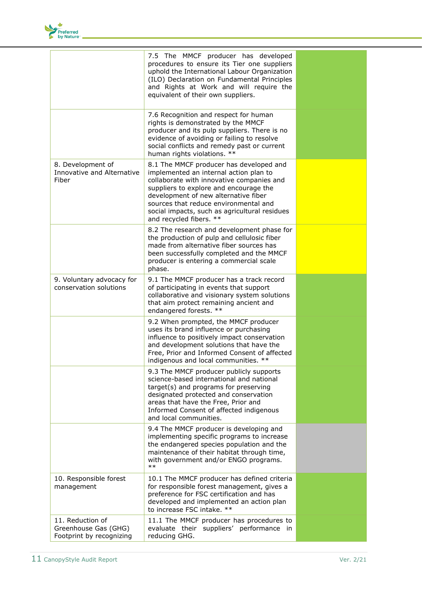

|                                                                      | 7.5 The MMCF producer has developed<br>procedures to ensure its Tier one suppliers<br>uphold the International Labour Organization<br>(ILO) Declaration on Fundamental Principles<br>and Rights at Work and will require the<br>equivalent of their own suppliers.                                                                    |  |
|----------------------------------------------------------------------|---------------------------------------------------------------------------------------------------------------------------------------------------------------------------------------------------------------------------------------------------------------------------------------------------------------------------------------|--|
|                                                                      | 7.6 Recognition and respect for human<br>rights is demonstrated by the MMCF<br>producer and its pulp suppliers. There is no<br>evidence of avoiding or failing to resolve<br>social conflicts and remedy past or current<br>human rights violations. **                                                                               |  |
| 8. Development of<br>Innovative and Alternative<br>Fiber             | 8.1 The MMCF producer has developed and<br>implemented an internal action plan to<br>collaborate with innovative companies and<br>suppliers to explore and encourage the<br>development of new alternative fiber<br>sources that reduce environmental and<br>social impacts, such as agricultural residues<br>and recycled fibers. ** |  |
|                                                                      | 8.2 The research and development phase for<br>the production of pulp and cellulosic fiber<br>made from alternative fiber sources has<br>been successfully completed and the MMCF<br>producer is entering a commercial scale<br>phase.                                                                                                 |  |
| 9. Voluntary advocacy for<br>conservation solutions                  | 9.1 The MMCF producer has a track record<br>of participating in events that support<br>collaborative and visionary system solutions<br>that aim protect remaining ancient and<br>endangered forests. **                                                                                                                               |  |
|                                                                      | 9.2 When prompted, the MMCF producer<br>uses its brand influence or purchasing<br>influence to positively impact conservation<br>and development solutions that have the<br>Free, Prior and Informed Consent of affected<br>indigenous and local communities. **                                                                      |  |
|                                                                      | 9.3 The MMCF producer publicly supports<br>science-based international and national<br>target(s) and programs for preserving<br>designated protected and conservation<br>areas that have the Free, Prior and<br>Informed Consent of affected indigenous<br>and local communities.                                                     |  |
|                                                                      | 9.4 The MMCF producer is developing and<br>implementing specific programs to increase<br>the endangered species population and the<br>maintenance of their habitat through time,<br>with government and/or ENGO programs.<br>$***$                                                                                                    |  |
| 10. Responsible forest<br>management                                 | 10.1 The MMCF producer has defined criteria<br>for responsible forest management, gives a<br>preference for FSC certification and has<br>developed and implemented an action plan<br>to increase FSC intake. **                                                                                                                       |  |
| 11. Reduction of<br>Greenhouse Gas (GHG)<br>Footprint by recognizing | 11.1 The MMCF producer has procedures to<br>evaluate their suppliers' performance in<br>reducing GHG.                                                                                                                                                                                                                                 |  |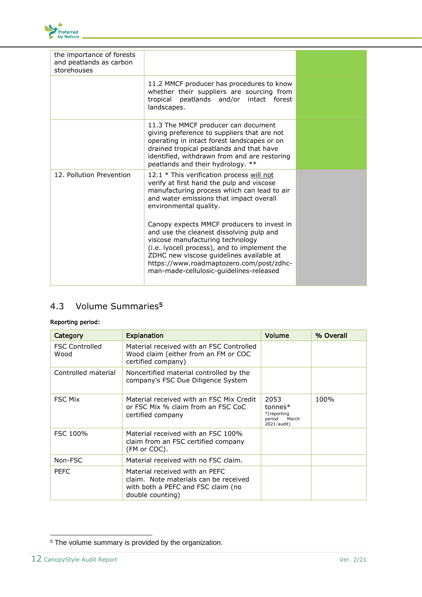

| the importance of forests<br>and peatlands as carbon<br>storehouses |                                                                                                                                                                                                                                                                                                               |  |
|---------------------------------------------------------------------|---------------------------------------------------------------------------------------------------------------------------------------------------------------------------------------------------------------------------------------------------------------------------------------------------------------|--|
|                                                                     | 11.2 MMCF producer has procedures to know<br>whether their suppliers are sourcing from<br>tropical peatlands and/or intact forest<br>landscapes.                                                                                                                                                              |  |
|                                                                     | 11.3 The MMCF producer can document<br>giving preference to suppliers that are not<br>operating in intact forest landscapes or on<br>drained tropical peatlands and that have<br>identified, withdrawn from and are restoring<br>peatlands and their hydrology. **                                            |  |
| 12. Pollution Prevention                                            | 12.1 * This verification process will not<br>verify at first hand the pulp and viscose<br>manufacturing process which can lead to air<br>and water emissions that impact overall<br>environmental quality.                                                                                                    |  |
|                                                                     | Canopy expects MMCF producers to invest in<br>and use the cleanest dissolving pulp and<br>viscose manufacturing technology<br>(i.e. lyocell process), and to implement the<br>ZDHC new viscose guidelines available at<br>https://www.roadmaptozero.com/post/zdhc-<br>man-made-cellulosic-quidelines-released |  |

### 4.3 Volume Summaries<sup>5</sup>

#### Reporting period:

| Category                      | <b>Explanation</b>                                                                                                                | Volume                                                             | % Overall |
|-------------------------------|-----------------------------------------------------------------------------------------------------------------------------------|--------------------------------------------------------------------|-----------|
| <b>FSC Controlled</b><br>Wood | Material received with an FSC Controlled<br>Wood claim (either from an FM or COC<br>certified company)                            |                                                                    |           |
| Controlled material           | Noncertified material controlled by the<br>company's FSC Due Diligence System                                                     |                                                                    |           |
| <b>FSC Mix</b>                | Material received with an FSC Mix Credit<br>or FSC Mix % claim from an FSC CoC<br>certified company                               | 2053<br>$tonnes*$<br>*(reporting<br>period<br>March<br>2021-audit) | 100%      |
| FSC 100%                      | Material received with an FSC 100%<br>claim from an FSC certified company<br>(FM or COC).                                         |                                                                    |           |
| Non-FSC                       | Material received with no FSC claim.                                                                                              |                                                                    |           |
| <b>PEFC</b>                   | Material received with an PEFC<br>claim. Note materials can be received<br>with both a PEFC and FSC claim (no<br>double counting) |                                                                    |           |

<sup>5</sup> The volume summary is provided by the organization.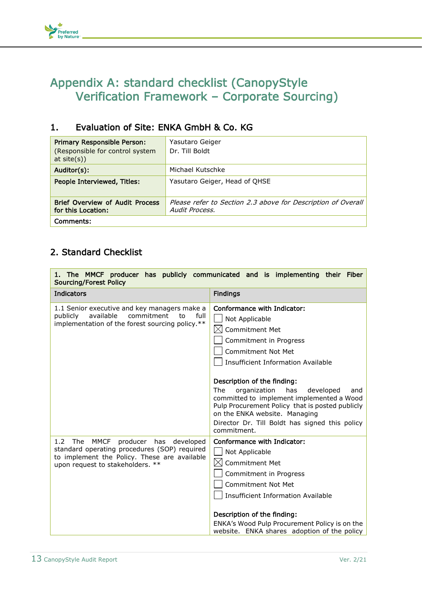## <span id="page-12-0"></span>Appendix A: standard checklist (CanopyStyle Verification Framework – Corporate Sourcing)

### 1. Evaluation of Site: ENKA GmbH & Co. KG

| <b>Primary Responsible Person:</b><br>(Responsible for control system<br>at $site(s)$ ) | Yasutaro Geiger<br>Dr. Till Boldt                                              |
|-----------------------------------------------------------------------------------------|--------------------------------------------------------------------------------|
| Auditor(s):                                                                             | Michael Kutschke                                                               |
| People Interviewed, Titles:                                                             | Yasutaro Geiger, Head of OHSE                                                  |
| <b>Brief Overview of Audit Process</b><br>for this Location:                            | Please refer to Section 2.3 above for Description of Overall<br>Audit Process. |
| Comments:                                                                               |                                                                                |

### 2. Standard Checklist

Preferred<br>by Nature

| 1. The MMCF producer has publicly communicated and is implementing their Fiber<br><b>Sourcing/Forest Policy</b>                                                                            |                                                                                                                                                                                                                                                                                                                                                                                                                                                 |  |
|--------------------------------------------------------------------------------------------------------------------------------------------------------------------------------------------|-------------------------------------------------------------------------------------------------------------------------------------------------------------------------------------------------------------------------------------------------------------------------------------------------------------------------------------------------------------------------------------------------------------------------------------------------|--|
| <b>Indicators</b>                                                                                                                                                                          | <b>Findings</b>                                                                                                                                                                                                                                                                                                                                                                                                                                 |  |
| 1.1 Senior executive and key managers make a<br>available<br>commitment<br>publicly<br>to<br>full<br>implementation of the forest sourcing policy.**                                       | Conformance with Indicator:<br>Not Applicable<br><b>Commitment Met</b><br>Commitment in Progress<br>Commitment Not Met<br>Insufficient Information Available<br>Description of the finding:<br>The<br>organization<br>has<br>developed<br>and<br>committed to implement implemented a Wood<br>Pulp Procurement Policy that is posted publicly<br>on the ENKA website. Managing<br>Director Dr. Till Boldt has signed this policy<br>commitment. |  |
| <b>MMCF</b><br>The<br>1.2<br>producer has<br>developed<br>standard operating procedures (SOP) required<br>to implement the Policy. These are available<br>upon request to stakeholders. ** | Conformance with Indicator:<br>Not Applicable<br><b>Commitment Met</b><br>Commitment in Progress<br><b>Commitment Not Met</b><br><b>Insufficient Information Available</b><br>Description of the finding:<br>ENKA's Wood Pulp Procurement Policy is on the<br>website. ENKA shares adoption of the policy                                                                                                                                       |  |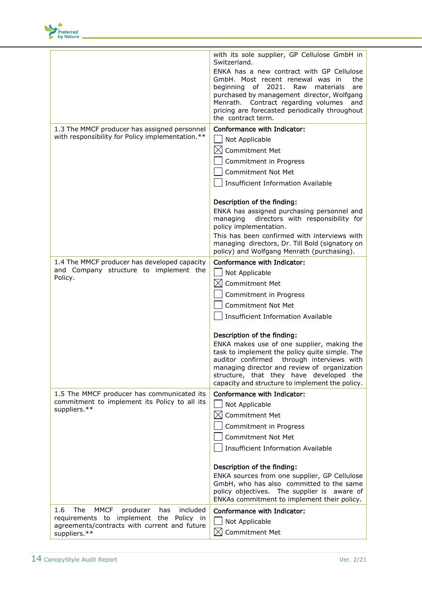

|                                                               | with its sole supplier, GP Cellulose GmbH in<br>Switzerland.                                                                                                                                                                                                                                              |
|---------------------------------------------------------------|-----------------------------------------------------------------------------------------------------------------------------------------------------------------------------------------------------------------------------------------------------------------------------------------------------------|
|                                                               | ENKA has a new contract with GP Cellulose<br>GmbH. Most recent renewal was in<br>the<br>beginning of 2021.<br>Raw<br>materials<br>are<br>purchased by management director, Wolfgang<br>Menrath. Contract regarding volumes<br>and<br>pricing are forecasted periodically throughout<br>the contract term. |
| 1.3 The MMCF producer has assigned personnel                  | Conformance with Indicator:                                                                                                                                                                                                                                                                               |
| with responsibility for Policy implementation.**              | Not Applicable                                                                                                                                                                                                                                                                                            |
|                                                               | Commitment Met<br>IXI                                                                                                                                                                                                                                                                                     |
|                                                               |                                                                                                                                                                                                                                                                                                           |
|                                                               | Commitment in Progress                                                                                                                                                                                                                                                                                    |
|                                                               | <b>Commitment Not Met</b>                                                                                                                                                                                                                                                                                 |
|                                                               | <b>Insufficient Information Available</b>                                                                                                                                                                                                                                                                 |
|                                                               | Description of the finding:                                                                                                                                                                                                                                                                               |
|                                                               | ENKA has assigned purchasing personnel and                                                                                                                                                                                                                                                                |
|                                                               | directors with responsibility for<br>managing<br>policy implementation.                                                                                                                                                                                                                                   |
|                                                               | This has been confirmed with interviews with                                                                                                                                                                                                                                                              |
|                                                               | managing directors, Dr. Till Bold (signatory on<br>policy) and Wolfgang Menrath (purchasing).                                                                                                                                                                                                             |
| 1.4 The MMCF producer has developed capacity                  | Conformance with Indicator:                                                                                                                                                                                                                                                                               |
| and Company structure to implement the<br>Policy.             | Not Applicable                                                                                                                                                                                                                                                                                            |
|                                                               | <b>Commitment Met</b><br>IХI                                                                                                                                                                                                                                                                              |
|                                                               | Commitment in Progress                                                                                                                                                                                                                                                                                    |
|                                                               | <b>Commitment Not Met</b>                                                                                                                                                                                                                                                                                 |
|                                                               | <b>Insufficient Information Available</b>                                                                                                                                                                                                                                                                 |
|                                                               | Description of the finding:                                                                                                                                                                                                                                                                               |
|                                                               | ENKA makes use of one supplier, making the<br>task to implement the policy quite simple. The<br>auditor confirmed<br>through interviews with<br>managing director and review of organization<br>structure, that they have developed the<br>capacity and structure to implement the policy.                |
| 1.5 The MMCF producer has communicated its                    | Conformance with Indicator:                                                                                                                                                                                                                                                                               |
| commitment to implement its Policy to all its<br>suppliers.** | Not Applicable                                                                                                                                                                                                                                                                                            |
|                                                               | <b>Commitment Met</b><br>IХI                                                                                                                                                                                                                                                                              |
|                                                               | Commitment in Progress                                                                                                                                                                                                                                                                                    |
|                                                               | <b>Commitment Not Met</b>                                                                                                                                                                                                                                                                                 |
|                                                               | <b>Insufficient Information Available</b>                                                                                                                                                                                                                                                                 |
|                                                               | Description of the finding:                                                                                                                                                                                                                                                                               |
|                                                               | ENKA sources from one supplier, GP Cellulose<br>GmbH, who has also committed to the same<br>policy objectives. The supplier is aware of<br>ENKAs commitment to implement their policy.                                                                                                                    |
| 1.6<br>The<br><b>MMCF</b><br>included<br>producer<br>has      | Conformance with Indicator:                                                                                                                                                                                                                                                                               |
| requirements to implement the Policy in                       | Not Applicable                                                                                                                                                                                                                                                                                            |
| agreements/contracts with current and future<br>suppliers.**  | Commitment Met<br>⊠                                                                                                                                                                                                                                                                                       |
|                                                               |                                                                                                                                                                                                                                                                                                           |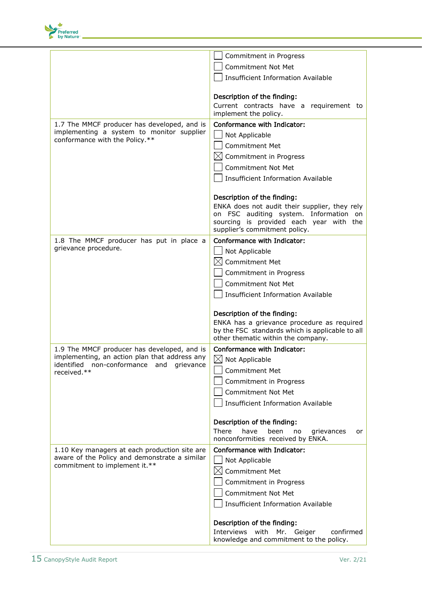

|                                                                                          | Commitment in Progress                                                                |
|------------------------------------------------------------------------------------------|---------------------------------------------------------------------------------------|
|                                                                                          | <b>Commitment Not Met</b>                                                             |
|                                                                                          | <b>Insufficient Information Available</b>                                             |
|                                                                                          |                                                                                       |
|                                                                                          | Description of the finding:                                                           |
|                                                                                          | Current contracts have a requirement to                                               |
|                                                                                          | implement the policy.                                                                 |
| 1.7 The MMCF producer has developed, and is<br>implementing a system to monitor supplier | Conformance with Indicator:                                                           |
| conformance with the Policy.**                                                           | Not Applicable                                                                        |
|                                                                                          | Commitment Met                                                                        |
|                                                                                          | $\boxtimes$ Commitment in Progress                                                    |
|                                                                                          | Commitment Not Met                                                                    |
|                                                                                          | <b>Insufficient Information Available</b>                                             |
|                                                                                          |                                                                                       |
|                                                                                          | Description of the finding:                                                           |
|                                                                                          | ENKA does not audit their supplier, they rely                                         |
|                                                                                          | on FSC auditing system. Information on<br>sourcing is provided each year with the     |
|                                                                                          | supplier's commitment policy.                                                         |
| 1.8 The MMCF producer has put in place a                                                 | Conformance with Indicator:                                                           |
| grievance procedure.                                                                     | Not Applicable                                                                        |
|                                                                                          | <b>Commitment Met</b>                                                                 |
|                                                                                          | Commitment in Progress                                                                |
|                                                                                          | <b>Commitment Not Met</b>                                                             |
|                                                                                          | <b>Insufficient Information Available</b>                                             |
|                                                                                          |                                                                                       |
|                                                                                          | Description of the finding:                                                           |
|                                                                                          | ENKA has a grievance procedure as required                                            |
|                                                                                          | by the FSC standards which is applicable to all<br>other thematic within the company. |
| 1.9 The MMCF producer has developed, and is                                              | Conformance with Indicator:                                                           |
| implementing, an action plan that address any                                            | $\bowtie$<br>Not Applicable                                                           |
| identified non-conformance and grievance                                                 | <b>Commitment Met</b>                                                                 |
| received.**                                                                              |                                                                                       |
|                                                                                          | Commitment in Progress                                                                |
|                                                                                          | Commitment Not Met                                                                    |
|                                                                                          | <b>Insufficient Information Available</b>                                             |
|                                                                                          |                                                                                       |
|                                                                                          | Description of the finding:<br>There<br>have<br>been<br>no<br>grievances<br>or        |
|                                                                                          | nonconformities received by ENKA.                                                     |
| 1.10 Key managers at each production site are                                            | Conformance with Indicator:                                                           |
| aware of the Policy and demonstrate a similar                                            | Not Applicable                                                                        |
| commitment to implement it.**                                                            | Commitment Met                                                                        |
|                                                                                          | Commitment in Progress                                                                |
|                                                                                          | <b>Commitment Not Met</b>                                                             |
|                                                                                          | <b>Insufficient Information Available</b>                                             |
|                                                                                          |                                                                                       |
|                                                                                          | Description of the finding:                                                           |
|                                                                                          | Interviews with<br>Mr. Geiger<br>confirmed                                            |
|                                                                                          | knowledge and commitment to the policy.                                               |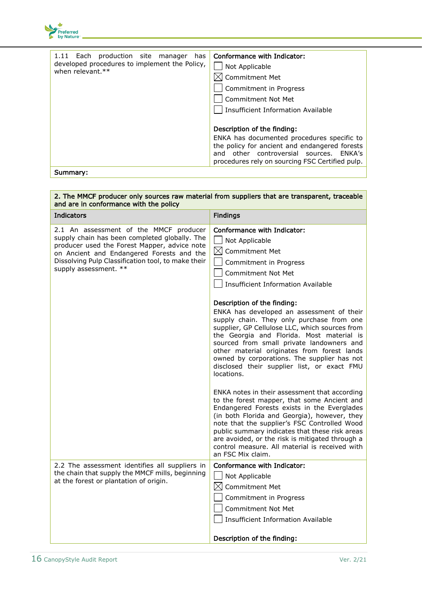

| Description of the finding: | 1.11 Each production site manager<br>has<br>developed procedures to implement the Policy,<br>when relevant.** | Conformance with Indicator:<br>Not Applicable<br>Commitment Met<br>Commitment in Progress<br>Commitment Not Met<br><b>Insufficient Information Available</b>                              |
|-----------------------------|---------------------------------------------------------------------------------------------------------------|-------------------------------------------------------------------------------------------------------------------------------------------------------------------------------------------|
| Summary:                    |                                                                                                               | ENKA has documented procedures specific to<br>the policy for ancient and endangered forests<br>and other controversial sources. ENKA's<br>procedures rely on sourcing FSC Certified pulp. |

2. The MMCF producer only sources raw material from suppliers that are transparent, traceable

#### and are in conformance with the policy **Indicators Findings** 2.1 An assessment of the MMCF producer supply chain has been completed globally. The producer used the Forest Mapper, advice note on Ancient and Endangered Forests and the Dissolving Pulp Classification tool, to make their supply assessment. \*\* Conformance with Indicator: | Not Applicable  $\boxtimes$  Commitment Met Commitment in Progress Commitment Not Met Insufficient Information Available Description of the finding: ENKA has developed an assessment of their supply chain. They only purchase from one supplier, GP Cellulose LLC, which sources from the Georgia and Florida. Most material is sourced from small private landowners and other material originates from forest lands owned by corporations. The supplier has not disclosed their supplier list, or exact FMU locations. ENKA notes in their assessment that according to the forest mapper, that some Ancient and Endangered Forests exists in the Everglades (in both Florida and Georgia), however, they note that the supplier's FSC Controlled Wood public summary indicates that these risk areas are avoided, or the risk is mitigated through a control measure. All material is received with an FSC Mix claim. 2.2 The assessment identifies all suppliers in the chain that supply the MMCF mills, beginning at the forest or plantation of origin. Conformance with Indicator: | Not Applicable  $\boxtimes$  Commitment Met Commitment in Progress Commitment Not Met Insufficient Information Available Description of the finding: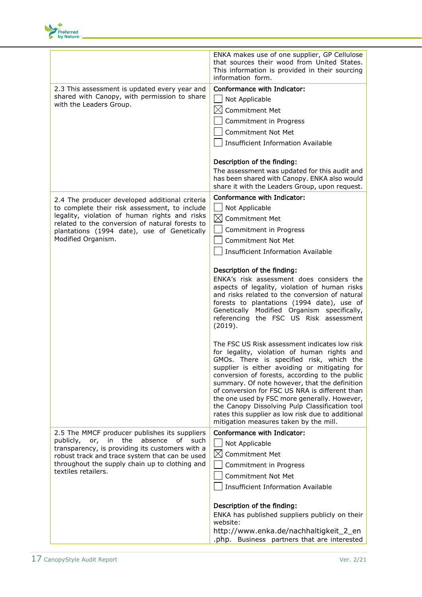

|                                                                                                   | ENKA makes use of one supplier, GP Cellulose<br>that sources their wood from United States.<br>This information is provided in their sourcing<br>information form. |
|---------------------------------------------------------------------------------------------------|--------------------------------------------------------------------------------------------------------------------------------------------------------------------|
| 2.3 This assessment is updated every year and                                                     | Conformance with Indicator:                                                                                                                                        |
| shared with Canopy, with permission to share                                                      | Not Applicable                                                                                                                                                     |
| with the Leaders Group.                                                                           |                                                                                                                                                                    |
|                                                                                                   | $\boxtimes$<br><b>Commitment Met</b>                                                                                                                               |
|                                                                                                   | Commitment in Progress                                                                                                                                             |
|                                                                                                   | <b>Commitment Not Met</b>                                                                                                                                          |
|                                                                                                   | <b>Insufficient Information Available</b>                                                                                                                          |
|                                                                                                   | Description of the finding:                                                                                                                                        |
|                                                                                                   | The assessment was updated for this audit and                                                                                                                      |
|                                                                                                   | has been shared with Canopy. ENKA also would                                                                                                                       |
|                                                                                                   | share it with the Leaders Group, upon request.                                                                                                                     |
| 2.4 The producer developed additional criteria                                                    | Conformance with Indicator:                                                                                                                                        |
| to complete their risk assessment, to include                                                     | Not Applicable                                                                                                                                                     |
| legality, violation of human rights and risks                                                     | $\bowtie$<br>Commitment Met                                                                                                                                        |
| related to the conversion of natural forests to<br>plantations (1994 date), use of Genetically    | Commitment in Progress                                                                                                                                             |
| Modified Organism.                                                                                | <b>Commitment Not Met</b>                                                                                                                                          |
|                                                                                                   | <b>Insufficient Information Available</b>                                                                                                                          |
|                                                                                                   |                                                                                                                                                                    |
|                                                                                                   | Description of the finding:                                                                                                                                        |
|                                                                                                   | ENKA's risk assessment does considers the                                                                                                                          |
|                                                                                                   | aspects of legality, violation of human risks                                                                                                                      |
|                                                                                                   | and risks related to the conversion of natural                                                                                                                     |
|                                                                                                   | forests to plantations (1994 date), use of                                                                                                                         |
|                                                                                                   | Genetically Modified Organism specifically,<br>referencing the FSC US Risk assessment                                                                              |
|                                                                                                   | (2019).                                                                                                                                                            |
|                                                                                                   |                                                                                                                                                                    |
|                                                                                                   | The FSC US Risk assessment indicates low risk                                                                                                                      |
|                                                                                                   | for legality, violation of human rights and                                                                                                                        |
|                                                                                                   | GMOs. There is specified risk, which the                                                                                                                           |
|                                                                                                   | supplier is either avoiding or mitigating for<br>conversion of forests, according to the public                                                                    |
|                                                                                                   | summary. Of note however, that the definition                                                                                                                      |
|                                                                                                   | of conversion for FSC US NRA is different than                                                                                                                     |
|                                                                                                   | the one used by FSC more generally. However,                                                                                                                       |
|                                                                                                   | the Canopy Dissolving Pulp Classification tool<br>rates this supplier as low risk due to additional                                                                |
|                                                                                                   | mitigation measures taken by the mill.                                                                                                                             |
| 2.5 The MMCF producer publishes its suppliers                                                     | Conformance with Indicator:                                                                                                                                        |
| absence<br>publicly,<br>or,<br>the<br>οf<br>such<br>in.                                           | Not Applicable                                                                                                                                                     |
| transparency, is providing its customers with a<br>robust track and trace system that can be used | $\boxtimes$<br>Commitment Met                                                                                                                                      |
| throughout the supply chain up to clothing and                                                    | Commitment in Progress                                                                                                                                             |
| textiles retailers.                                                                               |                                                                                                                                                                    |
|                                                                                                   | <b>Commitment Not Met</b>                                                                                                                                          |
|                                                                                                   | <b>Insufficient Information Available</b>                                                                                                                          |
|                                                                                                   | Description of the finding:                                                                                                                                        |
|                                                                                                   | ENKA has published suppliers publicly on their<br>website:                                                                                                         |
|                                                                                                   | http://www.enka.de/nachhaltigkeit_2_en                                                                                                                             |
|                                                                                                   | .php. Business partners that are interested                                                                                                                        |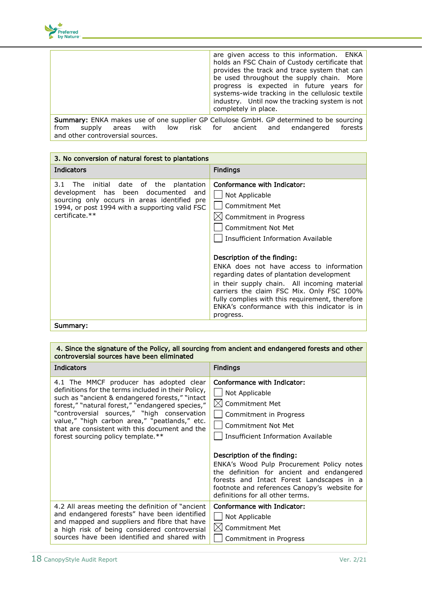

|                                                                                                                                                  | are given access to this information. ENKA<br>holds an FSC Chain of Custody certificate that<br>provides the track and trace system that can<br>be used throughout the supply chain. More<br>progress is expected in future years for<br>systems-wide tracking in the cellulosic textile<br>industry. Until now the tracking system is not<br>completely in place. |
|--------------------------------------------------------------------------------------------------------------------------------------------------|--------------------------------------------------------------------------------------------------------------------------------------------------------------------------------------------------------------------------------------------------------------------------------------------------------------------------------------------------------------------|
| Summary: ENKA makes use of one supplier GP Cellulose GmbH. GP determined to be sourcing<br>areas with low risk for ancient and<br>from<br>supply | endangered<br>forests l                                                                                                                                                                                                                                                                                                                                            |

and other controversial sources.

| 3. No conversion of natural forest to plantations                                                                                                                                                                 |                                                                                                                                                                                                                                                                                                                                                                                                                                                                                            |
|-------------------------------------------------------------------------------------------------------------------------------------------------------------------------------------------------------------------|--------------------------------------------------------------------------------------------------------------------------------------------------------------------------------------------------------------------------------------------------------------------------------------------------------------------------------------------------------------------------------------------------------------------------------------------------------------------------------------------|
| <b>Indicators</b>                                                                                                                                                                                                 | <b>Findings</b>                                                                                                                                                                                                                                                                                                                                                                                                                                                                            |
| 3.1<br>initial date of the plantation<br><b>The</b><br>development has been documented<br>and<br>sourcing only occurs in areas identified pre<br>1994, or post 1994 with a supporting valid FSC<br>certificate.** | Conformance with Indicator:<br>Not Applicable<br>Commitment Met<br>Commitment in Progress<br>Commitment Not Met<br>Insufficient Information Available<br>Description of the finding:<br>ENKA does not have access to information<br>regarding dates of plantation development<br>in their supply chain. All incoming material<br>carriers the claim FSC Mix. Only FSC 100%<br>fully complies with this requirement, therefore<br>ENKA's conformance with this indicator is in<br>progress. |
| Summary:                                                                                                                                                                                                          |                                                                                                                                                                                                                                                                                                                                                                                                                                                                                            |

#### 4. Since the signature of the Policy, all sourcing from ancient and endangered forests and other controversial sources have been eliminated

| <b>Indicators</b>                                                                                                                                                                                                                                                                                                                                                                             | <b>Findings</b>                                                                                                                                                                                                                                                                                                                                                                                                               |
|-----------------------------------------------------------------------------------------------------------------------------------------------------------------------------------------------------------------------------------------------------------------------------------------------------------------------------------------------------------------------------------------------|-------------------------------------------------------------------------------------------------------------------------------------------------------------------------------------------------------------------------------------------------------------------------------------------------------------------------------------------------------------------------------------------------------------------------------|
| 4.1 The MMCF producer has adopted clear<br>definitions for the terms included in their Policy,<br>such as "ancient & endangered forests," "intact<br>forest," "natural forest," "endangered species,"<br>"controversial sources," "high conservation<br>value," "high carbon area," "peatlands," etc.<br>that are consistent with this document and the<br>forest sourcing policy template.** | Conformance with Indicator:<br>Not Applicable<br><b>Commitment Met</b><br>Commitment in Progress<br><b>Commitment Not Met</b><br>Insufficient Information Available<br>Description of the finding:<br>ENKA's Wood Pulp Procurement Policy notes<br>the definition for ancient and endangered<br>forests and Intact Forest Landscapes in a<br>footnote and references Canopy's website for<br>definitions for all other terms. |
| 4.2 All areas meeting the definition of "ancient"<br>and endangered forests" have been identified<br>and mapped and suppliers and fibre that have<br>a high risk of being considered controversial<br>sources have been identified and shared with                                                                                                                                            | Conformance with Indicator:<br>Not Applicable<br><b>Commitment Met</b><br>Commitment in Progress                                                                                                                                                                                                                                                                                                                              |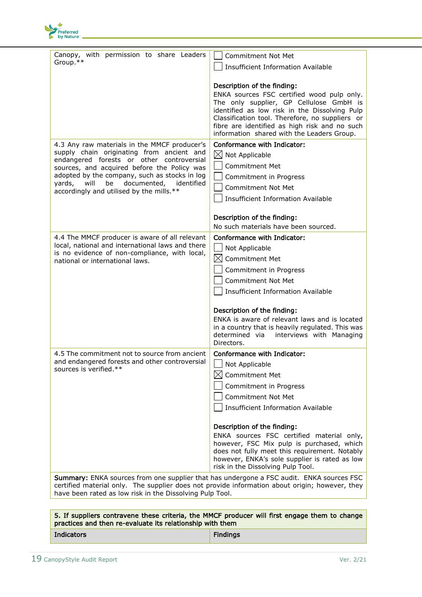

| Canopy, with permission to share Leaders<br>Group.**                                                                                                                                                                                                                                                                                    | <b>Commitment Not Met</b>                                                                                                                                                                                                                                                                                               |
|-----------------------------------------------------------------------------------------------------------------------------------------------------------------------------------------------------------------------------------------------------------------------------------------------------------------------------------------|-------------------------------------------------------------------------------------------------------------------------------------------------------------------------------------------------------------------------------------------------------------------------------------------------------------------------|
|                                                                                                                                                                                                                                                                                                                                         | <b>Insufficient Information Available</b>                                                                                                                                                                                                                                                                               |
|                                                                                                                                                                                                                                                                                                                                         | Description of the finding:<br>ENKA sources FSC certified wood pulp only.<br>The only supplier, GP Cellulose GmbH is<br>identified as low risk in the Dissolving Pulp<br>Classification tool. Therefore, no suppliers or<br>fibre are identified as high risk and no such<br>information shared with the Leaders Group. |
| 4.3 Any raw materials in the MMCF producer's<br>supply chain originating from ancient and<br>endangered forests or other controversial<br>sources, and acquired before the Policy was<br>adopted by the company, such as stocks in log<br>will<br>be<br>documented,<br>identified<br>yards,<br>accordingly and utilised by the mills.** | Conformance with Indicator:<br>$\boxtimes$ Not Applicable<br><b>Commitment Met</b><br>Commitment in Progress<br><b>Commitment Not Met</b><br><b>Insufficient Information Available</b><br>Description of the finding:                                                                                                   |
|                                                                                                                                                                                                                                                                                                                                         | No such materials have been sourced.                                                                                                                                                                                                                                                                                    |
| 4.4 The MMCF producer is aware of all relevant<br>local, national and international laws and there<br>is no evidence of non-compliance, with local,<br>national or international laws.                                                                                                                                                  | Conformance with Indicator:<br>Not Applicable<br>$\boxtimes$ Commitment Met<br>Commitment in Progress<br><b>Commitment Not Met</b><br><b>Insufficient Information Available</b>                                                                                                                                         |
|                                                                                                                                                                                                                                                                                                                                         | Description of the finding:<br>ENKA is aware of relevant laws and is located<br>in a country that is heavily regulated. This was<br>determined via<br>interviews with Managing<br>Directors.                                                                                                                            |
| 4.5 The commitment not to source from ancient<br>and endangered forests and other controversial<br>sources is verified.**                                                                                                                                                                                                               | Conformance with Indicator:<br>Not Applicable<br>$\boxtimes$ Commitment Met<br>Commitment in Progress<br><b>Commitment Not Met</b><br><b>Insufficient Information Available</b><br>Description of the finding:<br>ENKA sources FSC certified material only,<br>however, FSC Mix pulp is purchased, which                |
|                                                                                                                                                                                                                                                                                                                                         | does not fully meet this requirement. Notably<br>however, ENKA's sole supplier is rated as low<br>risk in the Dissolving Pulp Tool.                                                                                                                                                                                     |

**Summary:** ENKA sources from one supplier that has undergone a FSC audit. ENKA sources FSC certified material only. The supplier does not provide information about origin; however, they have been rated as low risk in the Dissolving Pulp Tool.

| 5. If suppliers contravene these criteria, the MMCF producer will first engage them to change<br>practices and then re-evaluate its relationship with them |                 |
|------------------------------------------------------------------------------------------------------------------------------------------------------------|-----------------|
| Indicators                                                                                                                                                 | <b>Findings</b> |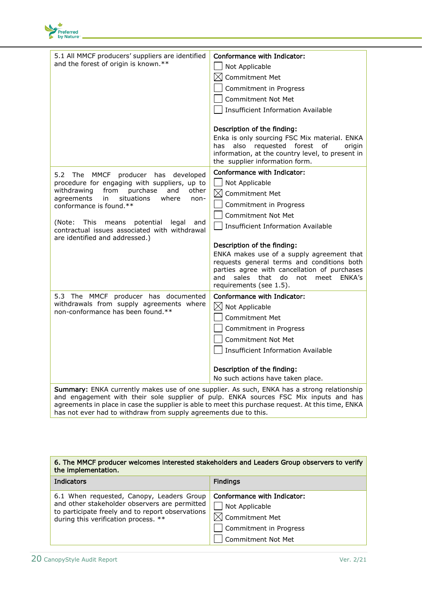

| 5.1 All MMCF producers' suppliers are identified<br>and the forest of origin is known.**                                                                                           | Conformance with Indicator:                                                                                                                                                                                         |
|------------------------------------------------------------------------------------------------------------------------------------------------------------------------------------|---------------------------------------------------------------------------------------------------------------------------------------------------------------------------------------------------------------------|
|                                                                                                                                                                                    | Not Applicable                                                                                                                                                                                                      |
|                                                                                                                                                                                    | $\boxtimes$<br><b>Commitment Met</b>                                                                                                                                                                                |
|                                                                                                                                                                                    | Commitment in Progress                                                                                                                                                                                              |
|                                                                                                                                                                                    | <b>Commitment Not Met</b>                                                                                                                                                                                           |
|                                                                                                                                                                                    | <b>Insufficient Information Available</b>                                                                                                                                                                           |
|                                                                                                                                                                                    | Description of the finding:<br>Enka is only sourcing FSC Mix material. ENKA<br>has also requested forest<br>of<br>origin                                                                                            |
|                                                                                                                                                                                    | information, at the country level, to present in<br>the supplier information form.                                                                                                                                  |
| 5.2 The MMCF producer has developed<br>procedure for engaging with suppliers, up to<br>withdrawing<br>purchase<br>from<br>and<br>other                                             | Conformance with Indicator:<br>Not Applicable<br>$\boxtimes$ Commitment Met                                                                                                                                         |
| agreements<br>in<br>situations<br>where<br>non-<br>conformance is found.**                                                                                                         | Commitment in Progress                                                                                                                                                                                              |
|                                                                                                                                                                                    | <b>Commitment Not Met</b>                                                                                                                                                                                           |
| (Note: This means potential<br>legal<br>and<br>contractual issues associated with withdrawal<br>are identified and addressed.)                                                     | <b>Insufficient Information Available</b>                                                                                                                                                                           |
|                                                                                                                                                                                    | Description of the finding:                                                                                                                                                                                         |
|                                                                                                                                                                                    | ENKA makes use of a supply agreement that<br>requests general terms and conditions both<br>parties agree with cancellation of purchases<br>and<br>sales that do<br>not<br>meet<br>ENKA's<br>requirements (see 1.5). |
| 5.3 The MMCF producer has documented                                                                                                                                               | Conformance with Indicator:                                                                                                                                                                                         |
| withdrawals from supply agreements where<br>non-conformance has been found.**                                                                                                      | $\boxtimes$ Not Applicable                                                                                                                                                                                          |
|                                                                                                                                                                                    | <b>Commitment Met</b>                                                                                                                                                                                               |
|                                                                                                                                                                                    | Commitment in Progress                                                                                                                                                                                              |
|                                                                                                                                                                                    | <b>Commitment Not Met</b>                                                                                                                                                                                           |
|                                                                                                                                                                                    | <b>Insufficient Information Available</b>                                                                                                                                                                           |
|                                                                                                                                                                                    | Description of the finding:                                                                                                                                                                                         |
|                                                                                                                                                                                    | No such actions have taken place.                                                                                                                                                                                   |
| Summary: ENKA currently makes use of one supplier. As such, ENKA has a strong relationship<br>and engagement with their sole supplier of pulp. ENKA sources FSC Mix inputs and has |                                                                                                                                                                                                                     |

agreements in place in case the supplier is able to meet this purchase request. At this time, ENKA has not ever had to withdraw from supply agreements due to this.

| 6. The MMCF producer welcomes interested stakeholders and Leaders Group observers to verify<br>the implementation.                                                                     |                                                                                                                             |
|----------------------------------------------------------------------------------------------------------------------------------------------------------------------------------------|-----------------------------------------------------------------------------------------------------------------------------|
| <b>Indicators</b>                                                                                                                                                                      | <b>Findings</b>                                                                                                             |
| 6.1 When requested, Canopy, Leaders Group<br>and other stakeholder observers are permitted<br>to participate freely and to report observations<br>during this verification process. ** | Conformance with Indicator:<br>Not Applicable<br>$\boxtimes$ Commitment Met<br>Commitment in Progress<br>Commitment Not Met |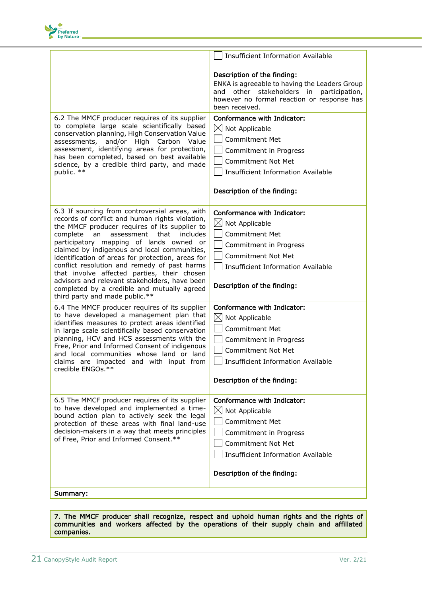

|                                                                                                                                                                                                                                                                                                                                                                                                                                                                                                                                                                                         | <b>Insufficient Information Available</b>                                                                                                                                                                             |
|-----------------------------------------------------------------------------------------------------------------------------------------------------------------------------------------------------------------------------------------------------------------------------------------------------------------------------------------------------------------------------------------------------------------------------------------------------------------------------------------------------------------------------------------------------------------------------------------|-----------------------------------------------------------------------------------------------------------------------------------------------------------------------------------------------------------------------|
|                                                                                                                                                                                                                                                                                                                                                                                                                                                                                                                                                                                         | Description of the finding:<br>ENKA is agreeable to having the Leaders Group<br>other stakeholders in participation,<br>and<br>however no formal reaction or response has<br>been received.                           |
| 6.2 The MMCF producer requires of its supplier<br>to complete large scale scientifically based<br>conservation planning, High Conservation Value<br>assessments, and/or<br>High<br>Carbon<br>Value<br>assessment, identifying areas for protection,<br>has been completed, based on best available<br>science, by a credible third party, and made<br>public. **                                                                                                                                                                                                                        | Conformance with Indicator:<br>$\boxtimes$ Not Applicable<br><b>Commitment Met</b><br>Commitment in Progress<br><b>Commitment Not Met</b><br><b>Insufficient Information Available</b><br>Description of the finding: |
| 6.3 If sourcing from controversial areas, with<br>records of conflict and human rights violation,<br>the MMCF producer requires of its supplier to<br>assessment<br>that<br>complete<br>an<br>includes<br>participatory mapping of lands owned or<br>claimed by indigenous and local communities,<br>identification of areas for protection, areas for<br>conflict resolution and remedy of past harms<br>that involve affected parties, their chosen<br>advisors and relevant stakeholders, have been<br>completed by a credible and mutually agreed<br>third party and made public.** | Conformance with Indicator:<br>$\boxtimes$ Not Applicable<br><b>Commitment Met</b><br>Commitment in Progress<br><b>Commitment Not Met</b><br><b>Insufficient Information Available</b><br>Description of the finding: |
| 6.4 The MMCF producer requires of its supplier<br>to have developed a management plan that<br>identifies measures to protect areas identified<br>in large scale scientifically based conservation<br>planning, HCV and HCS assessments with the<br>Free, Prior and Informed Consent of indigenous<br>and local communities whose land or land<br>claims are impacted and with input from<br>credible ENGOs.**                                                                                                                                                                           | Conformance with Indicator:<br>$\boxtimes$<br>Not Applicable<br><b>Commitment Met</b><br>Commitment in Progress<br><b>Commitment Not Met</b><br>Insufficient Information Available<br>Description of the finding:     |
| 6.5 The MMCF producer requires of its supplier<br>to have developed and implemented a time-<br>bound action plan to actively seek the legal<br>protection of these areas with final land-use<br>decision-makers in a way that meets principles<br>of Free, Prior and Informed Consent.**                                                                                                                                                                                                                                                                                                | Conformance with Indicator:<br>$\boxtimes$ Not Applicable<br><b>Commitment Met</b><br>Commitment in Progress<br>Commitment Not Met<br><b>Insufficient Information Available</b><br>Description of the finding:        |
|                                                                                                                                                                                                                                                                                                                                                                                                                                                                                                                                                                                         |                                                                                                                                                                                                                       |
| Summary:                                                                                                                                                                                                                                                                                                                                                                                                                                                                                                                                                                                |                                                                                                                                                                                                                       |

7. The MMCF producer shall recognize, respect and uphold human rights and the rights of communities and workers affected by the operations of their supply chain and affiliated companies.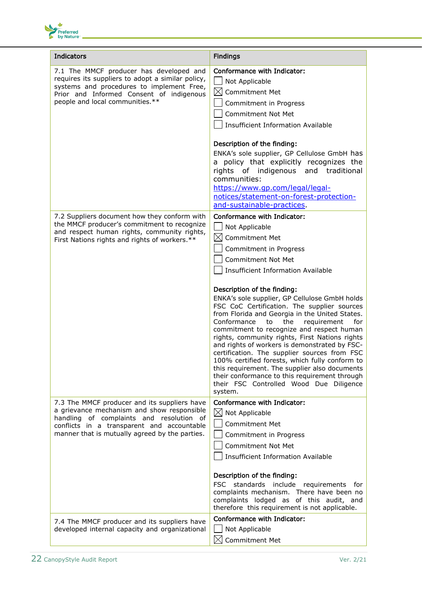

| <b>Indicators</b>                                                                                                                                                                                                                      | <b>Findings</b>                                                                                                                                                                                                                                                                                                                                                                                                                                                                                                                                                                                                                                                                                                                                                                                                        |
|----------------------------------------------------------------------------------------------------------------------------------------------------------------------------------------------------------------------------------------|------------------------------------------------------------------------------------------------------------------------------------------------------------------------------------------------------------------------------------------------------------------------------------------------------------------------------------------------------------------------------------------------------------------------------------------------------------------------------------------------------------------------------------------------------------------------------------------------------------------------------------------------------------------------------------------------------------------------------------------------------------------------------------------------------------------------|
| 7.1 The MMCF producer has developed and<br>requires its suppliers to adopt a similar policy,<br>systems and procedures to implement Free,<br>Prior and Informed Consent of indigenous<br>people and local communities.**               | Conformance with Indicator:<br>Not Applicable<br>$\bowtie$<br>Commitment Met<br>Commitment in Progress<br><b>Commitment Not Met</b><br><b>Insufficient Information Available</b>                                                                                                                                                                                                                                                                                                                                                                                                                                                                                                                                                                                                                                       |
|                                                                                                                                                                                                                                        | Description of the finding:<br>ENKA's sole supplier, GP Cellulose GmbH has<br>a policy that explicitly recognizes the<br>rights of indigenous and traditional<br>communities:<br>https://www.qp.com/legal/legal-<br>notices/statement-on-forest-protection-<br>and-sustainable-practices.                                                                                                                                                                                                                                                                                                                                                                                                                                                                                                                              |
| 7.2 Suppliers document how they conform with<br>the MMCF producer's commitment to recognize<br>and respect human rights, community rights,<br>First Nations rights and rights of workers.**                                            | Conformance with Indicator:<br>Not Applicable<br>$\bowtie$<br>Commitment Met<br>Commitment in Progress<br>Commitment Not Met<br><b>Insufficient Information Available</b><br>Description of the finding:<br>ENKA's sole supplier, GP Cellulose GmbH holds<br>FSC CoC Certification. The supplier sources<br>from Florida and Georgia in the United States.<br>Conformance<br>the<br>requirement<br>to<br>for<br>commitment to recognize and respect human<br>rights, community rights, First Nations rights<br>and rights of workers is demonstrated by FSC-<br>certification. The supplier sources from FSC<br>100% certified forests, which fully conform to<br>this requirement. The supplier also documents<br>their conformance to this requirement through<br>their FSC Controlled Wood Due Diligence<br>system. |
| 7.3 The MMCF producer and its suppliers have<br>a grievance mechanism and show responsible<br>handling of complaints and resolution of<br>conflicts in a transparent and accountable<br>manner that is mutually agreed by the parties. | Conformance with Indicator:<br>$\boxtimes$ Not Applicable<br><b>Commitment Met</b><br>Commitment in Progress<br><b>Commitment Not Met</b><br><b>Insufficient Information Available</b><br>Description of the finding:<br><b>FSC</b><br>standards include requirements<br>for<br>complaints mechanism. There have been no<br>complaints lodged as of this audit, and<br>therefore this requirement is not applicable.                                                                                                                                                                                                                                                                                                                                                                                                   |
| 7.4 The MMCF producer and its suppliers have<br>developed internal capacity and organizational                                                                                                                                         | Conformance with Indicator:<br>Not Applicable<br>$\bowtie$<br>Commitment Met                                                                                                                                                                                                                                                                                                                                                                                                                                                                                                                                                                                                                                                                                                                                           |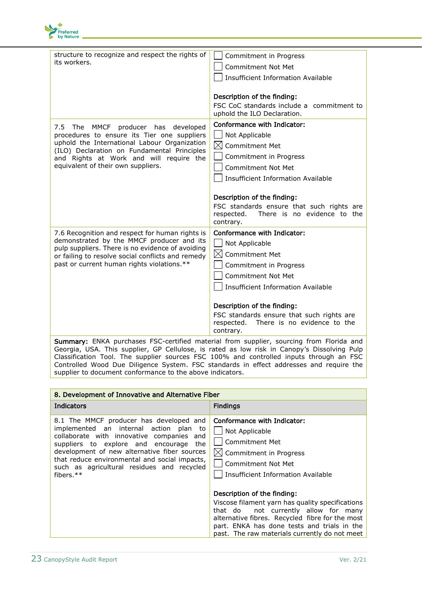

| structure to recognize and respect the rights of<br>its workers.                                                                                                                                                                                                            | Commitment in Progress<br>Commitment Not Met<br><b>Insufficient Information Available</b><br>Description of the finding:                                                                                                                                              |
|-----------------------------------------------------------------------------------------------------------------------------------------------------------------------------------------------------------------------------------------------------------------------------|-----------------------------------------------------------------------------------------------------------------------------------------------------------------------------------------------------------------------------------------------------------------------|
|                                                                                                                                                                                                                                                                             | FSC CoC standards include a commitment to<br>uphold the ILO Declaration.                                                                                                                                                                                              |
| MMCF<br>producer has<br>developed<br>7.5 The<br>procedures to ensure its Tier one suppliers<br>uphold the International Labour Organization<br>(ILO) Declaration on Fundamental Principles<br>and Rights at Work and will require the<br>equivalent of their own suppliers. | Conformance with Indicator:<br>Not Applicable<br>$\boxtimes$<br><b>Commitment Met</b><br>Commitment in Progress<br>Commitment Not Met<br><b>Insufficient Information Available</b>                                                                                    |
|                                                                                                                                                                                                                                                                             | Description of the finding:<br>FSC standards ensure that such rights are<br>There is no evidence to the<br>respected.<br>contrary.                                                                                                                                    |
| 7.6 Recognition and respect for human rights is<br>demonstrated by the MMCF producer and its<br>pulp suppliers. There is no evidence of avoiding<br>or failing to resolve social conflicts and remedy<br>past or current human rights violations.**                         | Conformance with Indicator:<br>Not Applicable<br>$\boxtimes$<br><b>Commitment Met</b><br>Commitment in Progress<br><b>Commitment Not Met</b><br><b>Insufficient Information Available</b><br>Description of the finding:<br>FSC standards ensure that such rights are |
|                                                                                                                                                                                                                                                                             | respected.<br>There is no evidence to the<br>contrary.                                                                                                                                                                                                                |
| Summary: ENKA purchases FSC-certified material from supplier, sourcing from Florida and                                                                                                                                                                                     |                                                                                                                                                                                                                                                                       |

Georgia, USA. This supplier, GP Cellulose, is rated as low risk in Canopy's Dissolving Pulp Classification Tool. The supplier sources FSC 100% and controlled inputs through an FSC Controlled Wood Due Diligence System. FSC standards in effect addresses and require the supplier to document conformance to the above indicators.

| 8. Development of Innovative and Alternative Fiber                                                                                                                                                                                                                                                                                      |                                                                                                                                                                                                                                                                                                                                                                                                                        |
|-----------------------------------------------------------------------------------------------------------------------------------------------------------------------------------------------------------------------------------------------------------------------------------------------------------------------------------------|------------------------------------------------------------------------------------------------------------------------------------------------------------------------------------------------------------------------------------------------------------------------------------------------------------------------------------------------------------------------------------------------------------------------|
| Indicators                                                                                                                                                                                                                                                                                                                              | <b>Findings</b>                                                                                                                                                                                                                                                                                                                                                                                                        |
| 8.1 The MMCF producer has developed and<br>implemented an internal action plan to<br>collaborate with innovative companies and<br>suppliers to explore and encourage the<br>development of new alternative fiber sources<br>that reduce environmental and social impacts,<br>such as agricultural residues and recycled<br>fibers. $**$ | Conformance with Indicator:<br>Not Applicable<br><b>Commitment Met</b><br>$\boxtimes$ Commitment in Progress<br><b>Commitment Not Met</b><br><b>Insufficient Information Available</b><br>Description of the finding:<br>Viscose filament yarn has quality specifications<br>not currently allow for many<br>that do<br>alternative fibres. Recycled fibre for the most<br>part. ENKA has done tests and trials in the |
|                                                                                                                                                                                                                                                                                                                                         | past. The raw materials currently do not meet                                                                                                                                                                                                                                                                                                                                                                          |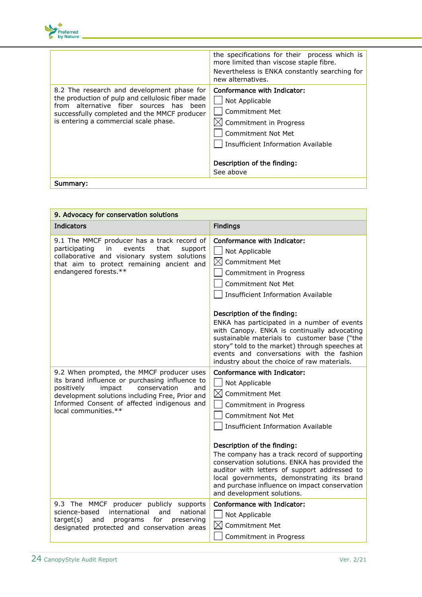

|                                                                                                                                                                                                                                       | the specifications for their process which is<br>more limited than viscose staple fibre.<br>Nevertheless is ENKA constantly searching for<br>new alternatives.                                           |
|---------------------------------------------------------------------------------------------------------------------------------------------------------------------------------------------------------------------------------------|----------------------------------------------------------------------------------------------------------------------------------------------------------------------------------------------------------|
| 8.2 The research and development phase for<br>the production of pulp and cellulosic fiber made<br>from alternative fiber sources has<br>been<br>successfully completed and the MMCF producer<br>is entering a commercial scale phase. | Conformance with Indicator:<br>Not Applicable<br><b>Commitment Met</b><br>Commitment in Progress<br>Commitment Not Met<br>Insufficient Information Available<br>Description of the finding:<br>See above |
| Summary:                                                                                                                                                                                                                              |                                                                                                                                                                                                          |

| 9. Advocacy for conservation solutions                                                                                                                                                                                                                               |                                                                                                                                                                                                                                                                                                                                                                                                                                                                                                                      |
|----------------------------------------------------------------------------------------------------------------------------------------------------------------------------------------------------------------------------------------------------------------------|----------------------------------------------------------------------------------------------------------------------------------------------------------------------------------------------------------------------------------------------------------------------------------------------------------------------------------------------------------------------------------------------------------------------------------------------------------------------------------------------------------------------|
| <b>Indicators</b>                                                                                                                                                                                                                                                    | <b>Findings</b>                                                                                                                                                                                                                                                                                                                                                                                                                                                                                                      |
| 9.1 The MMCF producer has a track record of<br>participating<br>in<br>that<br>events<br>support<br>collaborative and visionary system solutions<br>that aim to protect remaining ancient and<br>endangered forests.**                                                | Conformance with Indicator:<br>Not Applicable<br>$\boxtimes$<br><b>Commitment Met</b><br>Commitment in Progress<br><b>Commitment Not Met</b><br><b>Insufficient Information Available</b><br>Description of the finding:<br>ENKA has participated in a number of events<br>with Canopy. ENKA is continually advocating<br>sustainable materials to customer base ("the<br>story" told to the market) through speeches at<br>events and conversations with the fashion<br>industry about the choice of raw materials. |
| 9.2 When prompted, the MMCF producer uses<br>its brand influence or purchasing influence to<br>positively<br>impact<br>conservation<br>and<br>development solutions including Free, Prior and<br>Informed Consent of affected indigenous and<br>local communities.** | Conformance with Indicator:<br>Not Applicable<br>$\boxtimes$<br><b>Commitment Met</b><br>Commitment in Progress<br><b>Commitment Not Met</b><br><b>Insufficient Information Available</b><br>Description of the finding:<br>The company has a track record of supporting<br>conservation solutions. ENKA has provided the<br>auditor with letters of support addressed to<br>local governments, demonstrating its brand<br>and purchase influence on impact conservation<br>and development solutions.               |
| 9.3 The MMCF producer publicly supports<br>science-based<br>international<br>and<br>national<br>target(s)<br>and<br>for<br>programs<br>preserving<br>designated protected and conservation areas                                                                     | Conformance with Indicator:<br>Not Applicable<br>$\boxtimes$<br>Commitment Met<br>Commitment in Progress                                                                                                                                                                                                                                                                                                                                                                                                             |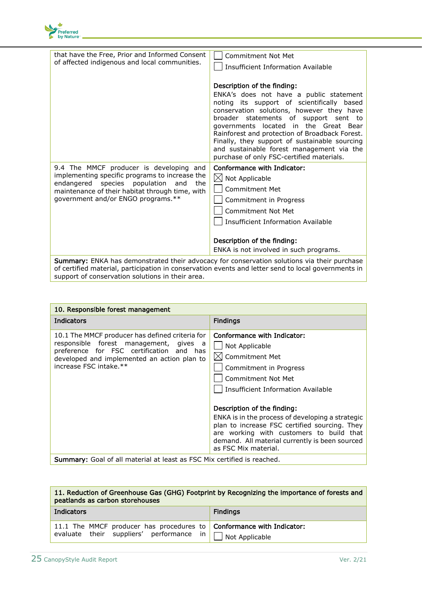

| that have the Free, Prior and Informed Consent<br>of affected indigenous and local communities.                                                                                                                                      | <b>Commitment Not Met</b><br>Insufficient Information Available                                                                                                                                                                                                                                                                                                                                                                                  |
|--------------------------------------------------------------------------------------------------------------------------------------------------------------------------------------------------------------------------------------|--------------------------------------------------------------------------------------------------------------------------------------------------------------------------------------------------------------------------------------------------------------------------------------------------------------------------------------------------------------------------------------------------------------------------------------------------|
|                                                                                                                                                                                                                                      | Description of the finding:<br>ENKA's does not have a public statement<br>noting its support of scientifically based<br>conservation solutions, however they have<br>broader statements of support sent to<br>governments located in the Great Bear<br>Rainforest and protection of Broadback Forest.<br>Finally, they support of sustainable sourcing<br>and sustainable forest management via the<br>purchase of only FSC-certified materials. |
| 9.4 The MMCF producer is developing and<br>implementing specific programs to increase the<br>species population<br>endangered<br>and<br>the<br>maintenance of their habitat through time, with<br>government and/or ENGO programs.** | <b>Conformance with Indicator:</b><br>$\boxtimes$ Not Applicable<br>Commitment Met<br>Commitment in Progress<br>Commitment Not Met<br>Insufficient Information Available<br>Description of the finding:                                                                                                                                                                                                                                          |
|                                                                                                                                                                                                                                      | ENKA is not involved in such programs.                                                                                                                                                                                                                                                                                                                                                                                                           |
| Summary: ENKA has demonstrated their advocacy for conservation solutions via their purchase<br>of certified material, participation in conservation events and letter send to local governments in                                   |                                                                                                                                                                                                                                                                                                                                                                                                                                                  |

support of conservation solutions in their area.

| 10. Responsible forest management                                                                                                                                                                              |                                                                                                                                                                                                                                                                                                                                                                                                                             |
|----------------------------------------------------------------------------------------------------------------------------------------------------------------------------------------------------------------|-----------------------------------------------------------------------------------------------------------------------------------------------------------------------------------------------------------------------------------------------------------------------------------------------------------------------------------------------------------------------------------------------------------------------------|
| Indicators                                                                                                                                                                                                     | <b>Findings</b>                                                                                                                                                                                                                                                                                                                                                                                                             |
| 10.1 The MMCF producer has defined criteria for<br>responsible forest management, gives a<br>preference for FSC certification and has<br>developed and implemented an action plan to<br>increase FSC intake.** | Conformance with Indicator:<br>Not Applicable<br>$\boxtimes$ Commitment Met<br>Commitment in Progress<br>Commitment Not Met<br>Insufficient Information Available<br>Description of the finding:<br>ENKA is in the process of developing a strategic<br>plan to increase FSC certified sourcing. They<br>are working with customers to build that<br>demand. All material currently is been sourced<br>as FSC Mix material. |
| <b>Summary:</b> Goal of all material at least as FSC Mix certified is reached.                                                                                                                                 |                                                                                                                                                                                                                                                                                                                                                                                                                             |

| 11. Reduction of Greenhouse Gas (GHG) Footprint by Recognizing the importance of forests and<br>peatlands as carbon storehouses               |                 |
|-----------------------------------------------------------------------------------------------------------------------------------------------|-----------------|
| Indicators                                                                                                                                    | <b>Findings</b> |
| 11.1 The MMCF producer has procedures to <b>Conformance with Indicator:</b><br>evaluate their suppliers' performance in $\Box$ Not Applicable |                 |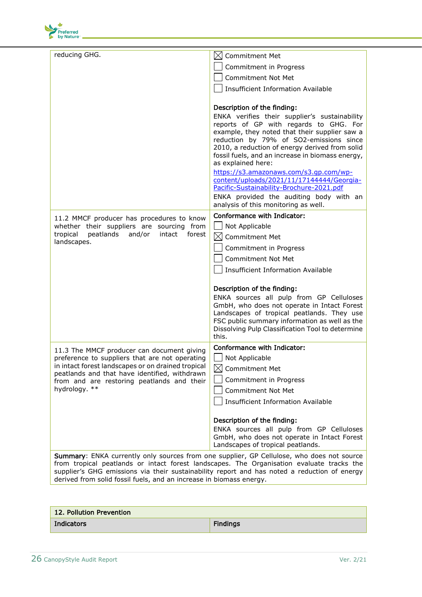

| reducing GHG.                                                                                                                                                                                       | <b>Commitment Met</b><br>IXI                                                              |
|-----------------------------------------------------------------------------------------------------------------------------------------------------------------------------------------------------|-------------------------------------------------------------------------------------------|
|                                                                                                                                                                                                     | Commitment in Progress                                                                    |
|                                                                                                                                                                                                     | <b>Commitment Not Met</b>                                                                 |
|                                                                                                                                                                                                     | <b>Insufficient Information Available</b>                                                 |
|                                                                                                                                                                                                     |                                                                                           |
|                                                                                                                                                                                                     | Description of the finding:                                                               |
|                                                                                                                                                                                                     | ENKA verifies their supplier's sustainability                                             |
|                                                                                                                                                                                                     | reports of GP with regards to GHG. For<br>example, they noted that their supplier saw a   |
|                                                                                                                                                                                                     | reduction by 79% of SO2-emissions since                                                   |
|                                                                                                                                                                                                     | 2010, a reduction of energy derived from solid                                            |
|                                                                                                                                                                                                     | fossil fuels, and an increase in biomass energy,<br>as explained here:                    |
|                                                                                                                                                                                                     | https://s3.amazonaws.com/s3.gp.com/wp-                                                    |
|                                                                                                                                                                                                     | content/uploads/2021/11/17144444/Georgia-                                                 |
|                                                                                                                                                                                                     | Pacific-Sustainability-Brochure-2021.pdf<br>ENKA provided the auditing body with an       |
|                                                                                                                                                                                                     | analysis of this monitoring as well.                                                      |
| 11.2 MMCF producer has procedures to know                                                                                                                                                           | Conformance with Indicator:                                                               |
| whether their suppliers are sourcing from                                                                                                                                                           | Not Applicable                                                                            |
| tropical<br>peatlands<br>and/or<br>intact<br>forest                                                                                                                                                 | $\boxtimes$<br>Commitment Met                                                             |
| landscapes.                                                                                                                                                                                         | Commitment in Progress                                                                    |
|                                                                                                                                                                                                     | <b>Commitment Not Met</b>                                                                 |
|                                                                                                                                                                                                     | <b>Insufficient Information Available</b>                                                 |
|                                                                                                                                                                                                     | Description of the finding:                                                               |
|                                                                                                                                                                                                     | ENKA sources all pulp from GP Celluloses                                                  |
|                                                                                                                                                                                                     | GmbH, who does not operate in Intact Forest<br>Landscapes of tropical peatlands. They use |
|                                                                                                                                                                                                     | FSC public summary information as well as the                                             |
|                                                                                                                                                                                                     | Dissolving Pulp Classification Tool to determine                                          |
|                                                                                                                                                                                                     | this.                                                                                     |
| 11.3 The MMCF producer can document giving<br>preference to suppliers that are not operating<br>in intact forest landscapes or on drained tropical<br>peatlands and that have identified, withdrawn | Conformance with Indicator:                                                               |
|                                                                                                                                                                                                     | Not Applicable                                                                            |
|                                                                                                                                                                                                     | $\boxtimes$ Commitment Met                                                                |
| from and are restoring peatlands and their<br>hydrology. **                                                                                                                                         | Commitment in Progress                                                                    |
|                                                                                                                                                                                                     | <b>Commitment Not Met</b>                                                                 |
|                                                                                                                                                                                                     | <b>Insufficient Information Available</b>                                                 |
|                                                                                                                                                                                                     | Description of the finding:                                                               |
|                                                                                                                                                                                                     | ENKA sources all pulp from GP Celluloses                                                  |
|                                                                                                                                                                                                     | GmbH, who does not operate in Intact Forest                                               |
|                                                                                                                                                                                                     | Landscapes of tropical peatlands.                                                         |
| <b>Summary:</b> ENKA currently only sources from one supplier, GP Cellulose, who does not source<br>from tropical poatlands or intact forest landscapes. The Organisation evaluate tracks the       |                                                                                           |

from tropical peatlands or intact forest landscapes. The Organisation evaluate tracks the supplier's GHG emissions via their sustainability report and has noted a reduction of energy derived from solid fossil fuels, and an increase in biomass energy.

| 12. Pollution Prevention |                 |
|--------------------------|-----------------|
| Indicators               | <b>Findings</b> |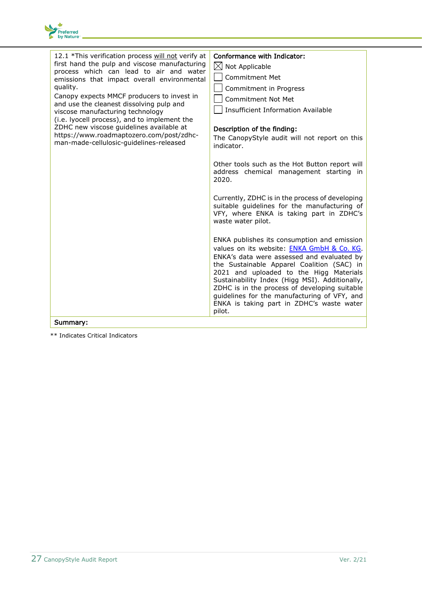

| 12.1 *This verification process will not verify at<br>first hand the pulp and viscose manufacturing<br>process which can lead to air and water<br>emissions that impact overall environmental<br>quality.<br>Canopy expects MMCF producers to invest in<br>and use the cleanest dissolving pulp and<br>viscose manufacturing technology<br>(i.e. lyocell process), and to implement the<br>ZDHC new viscose guidelines available at<br>https://www.roadmaptozero.com/post/zdhc-<br>man-made-cellulosic-guidelines-released | Conformance with Indicator:<br>$\boxtimes$<br>Not Applicable<br><b>Commitment Met</b><br>Commitment in Progress<br><b>Commitment Not Met</b><br><b>Insufficient Information Available</b><br>Description of the finding:<br>The CanopyStyle audit will not report on this<br>indicator.<br>Other tools such as the Hot Button report will<br>address chemical management starting in<br>2020.                                                                                                                                                                                                                   |
|----------------------------------------------------------------------------------------------------------------------------------------------------------------------------------------------------------------------------------------------------------------------------------------------------------------------------------------------------------------------------------------------------------------------------------------------------------------------------------------------------------------------------|-----------------------------------------------------------------------------------------------------------------------------------------------------------------------------------------------------------------------------------------------------------------------------------------------------------------------------------------------------------------------------------------------------------------------------------------------------------------------------------------------------------------------------------------------------------------------------------------------------------------|
| Summary:                                                                                                                                                                                                                                                                                                                                                                                                                                                                                                                   | Currently, ZDHC is in the process of developing<br>suitable guidelines for the manufacturing of<br>VFY, where ENKA is taking part in ZDHC's<br>waste water pilot.<br>ENKA publishes its consumption and emission<br>values on its website: ENKA GmbH & Co. KG.<br>ENKA's data were assessed and evaluated by<br>the Sustainable Apparel Coalition (SAC) in<br>2021 and uploaded to the Higg Materials<br>Sustainability Index (Higg MSI). Additionally,<br>ZDHC is in the process of developing suitable<br>guidelines for the manufacturing of VFY, and<br>ENKA is taking part in ZDHC's waste water<br>pilot. |

\*\* Indicates Critical Indicators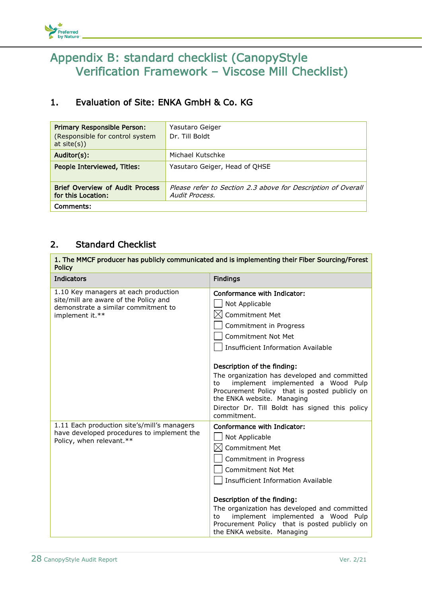

## <span id="page-27-0"></span>Appendix B: standard checklist (CanopyStyle Verification Framework – Viscose Mill Checklist)

### 1. Evaluation of Site: ENKA GmbH & Co. KG

| <b>Primary Responsible Person:</b><br>(Responsible for control system<br>at $site(s)$ ) | Yasutaro Geiger<br>Dr. Till Boldt                                              |
|-----------------------------------------------------------------------------------------|--------------------------------------------------------------------------------|
| Auditor(s):                                                                             | Michael Kutschke                                                               |
| People Interviewed, Titles:                                                             | Yasutaro Geiger, Head of OHSE                                                  |
| <b>Brief Overview of Audit Process</b><br>for this Location:                            | Please refer to Section 2.3 above for Description of Overall<br>Audit Process. |
| Comments:                                                                               |                                                                                |

### 2. Standard Checklist

| 1. The MMCF producer has publicly communicated and is implementing their Fiber Sourcing/Forest<br><b>Policy</b>                         |                                                                                                                                                                                                                                                                                                                                                                                                                                                      |
|-----------------------------------------------------------------------------------------------------------------------------------------|------------------------------------------------------------------------------------------------------------------------------------------------------------------------------------------------------------------------------------------------------------------------------------------------------------------------------------------------------------------------------------------------------------------------------------------------------|
| <b>Indicators</b>                                                                                                                       | <b>Findings</b>                                                                                                                                                                                                                                                                                                                                                                                                                                      |
| 1.10 Key managers at each production<br>site/mill are aware of the Policy and<br>demonstrate a similar commitment to<br>implement it.** | Conformance with Indicator:<br>Not Applicable<br><b>Commitment Met</b><br>IХI<br>Commitment in Progress<br>Commitment Not Met<br><b>Insufficient Information Available</b><br>Description of the finding:<br>The organization has developed and committed<br>implement implemented a Wood Pulp<br>to<br>Procurement Policy that is posted publicly on<br>the ENKA website. Managing<br>Director Dr. Till Boldt has signed this policy<br>commitment. |
| 1.11 Each production site's/mill's managers<br>have developed procedures to implement the<br>Policy, when relevant.**                   | Conformance with Indicator:<br>Not Applicable<br>Commitment Met<br>IХI<br>Commitment in Progress<br>Commitment Not Met<br><b>Insufficient Information Available</b><br>Description of the finding:<br>The organization has developed and committed<br>implement implemented a Wood Pulp<br>to<br>Procurement Policy that is posted publicly on<br>the ENKA website. Managing                                                                         |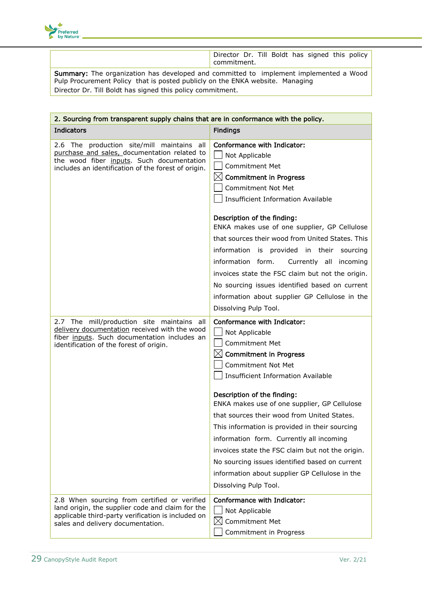

Director Dr. Till Boldt has signed this policy commitment.

Summary: The organization has developed and committed to implement implemented a Wood Pulp Procurement Policy that is posted publicly on the ENKA website. Managing Director Dr. Till Boldt has signed this policy commitment.

| 2. Sourcing from transparent supply chains that are in conformance with the policy.                                                                                                            |                                                                                                                                                                                                                                                                                                                                                                                                                                                                                                                                                                                                     |  |
|------------------------------------------------------------------------------------------------------------------------------------------------------------------------------------------------|-----------------------------------------------------------------------------------------------------------------------------------------------------------------------------------------------------------------------------------------------------------------------------------------------------------------------------------------------------------------------------------------------------------------------------------------------------------------------------------------------------------------------------------------------------------------------------------------------------|--|
| <b>Indicators</b>                                                                                                                                                                              | <b>Findings</b>                                                                                                                                                                                                                                                                                                                                                                                                                                                                                                                                                                                     |  |
| 2.6 The production site/mill maintains all<br>purchase and sales, documentation related to<br>the wood fiber inputs. Such documentation<br>includes an identification of the forest of origin. | Conformance with Indicator:<br>Not Applicable<br><b>Commitment Met</b><br>$\boxtimes$ Commitment in Progress<br>Commitment Not Met<br><b>Insufficient Information Available</b>                                                                                                                                                                                                                                                                                                                                                                                                                     |  |
|                                                                                                                                                                                                | Description of the finding:<br>ENKA makes use of one supplier, GP Cellulose<br>that sources their wood from United States. This<br>information is provided in their sourcing<br>information form.<br>Currently all incoming<br>invoices state the FSC claim but not the origin.<br>No sourcing issues identified based on current<br>information about supplier GP Cellulose in the<br>Dissolving Pulp Tool.                                                                                                                                                                                        |  |
| 2.7 The mill/production site maintains all<br>delivery documentation received with the wood<br>fiber inputs. Such documentation includes an<br>identification of the forest of origin.         | Conformance with Indicator:<br>Not Applicable<br><b>Commitment Met</b><br>$\boxtimes$ Commitment in Progress<br><b>Commitment Not Met</b><br><b>Insufficient Information Available</b><br>Description of the finding:<br>ENKA makes use of one supplier, GP Cellulose<br>that sources their wood from United States.<br>This information is provided in their sourcing<br>information form. Currently all incoming<br>invoices state the FSC claim but not the origin.<br>No sourcing issues identified based on current<br>information about supplier GP Cellulose in the<br>Dissolving Pulp Tool. |  |
| 2.8 When sourcing from certified or verified<br>land origin, the supplier code and claim for the<br>applicable third-party verification is included on<br>sales and delivery documentation.    | Conformance with Indicator:<br>Not Applicable<br>$\boxtimes$<br>Commitment Met<br>Commitment in Progress                                                                                                                                                                                                                                                                                                                                                                                                                                                                                            |  |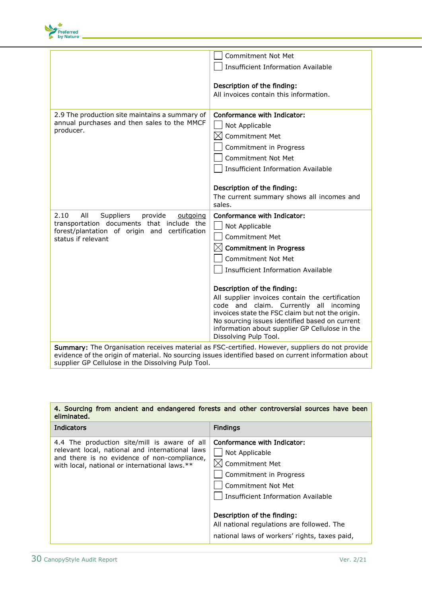

|                                                                                                                                                                                                         | <b>Commitment Not Met</b>                                                                  |
|---------------------------------------------------------------------------------------------------------------------------------------------------------------------------------------------------------|--------------------------------------------------------------------------------------------|
|                                                                                                                                                                                                         | <b>Insufficient Information Available</b>                                                  |
|                                                                                                                                                                                                         | Description of the finding:                                                                |
|                                                                                                                                                                                                         | All invoices contain this information.                                                     |
|                                                                                                                                                                                                         |                                                                                            |
| 2.9 The production site maintains a summary of                                                                                                                                                          | Conformance with Indicator:                                                                |
| annual purchases and then sales to the MMCF<br>producer.                                                                                                                                                | Not Applicable                                                                             |
|                                                                                                                                                                                                         | <b>Commitment Met</b><br>IХI                                                               |
|                                                                                                                                                                                                         | Commitment in Progress                                                                     |
|                                                                                                                                                                                                         | <b>Commitment Not Met</b>                                                                  |
|                                                                                                                                                                                                         | <b>Insufficient Information Available</b>                                                  |
|                                                                                                                                                                                                         |                                                                                            |
|                                                                                                                                                                                                         | Description of the finding:                                                                |
|                                                                                                                                                                                                         | The current summary shows all incomes and<br>sales.                                        |
| 2.10<br>All<br>Suppliers<br>provide<br>outgoing                                                                                                                                                         | Conformance with Indicator:                                                                |
| transportation documents that include the                                                                                                                                                               | Not Applicable                                                                             |
| forest/plantation of origin and certification<br>status if relevant                                                                                                                                     | <b>Commitment Met</b>                                                                      |
|                                                                                                                                                                                                         | $\boxtimes$ Commitment in Progress                                                         |
|                                                                                                                                                                                                         | <b>Commitment Not Met</b>                                                                  |
|                                                                                                                                                                                                         | <b>Insufficient Information Available</b>                                                  |
|                                                                                                                                                                                                         |                                                                                            |
|                                                                                                                                                                                                         | Description of the finding:                                                                |
|                                                                                                                                                                                                         | All supplier invoices contain the certification                                            |
|                                                                                                                                                                                                         | code and claim. Currently all incoming<br>invoices state the FSC claim but not the origin. |
|                                                                                                                                                                                                         | No sourcing issues identified based on current                                             |
|                                                                                                                                                                                                         | information about supplier GP Cellulose in the                                             |
|                                                                                                                                                                                                         | Dissolving Pulp Tool.                                                                      |
| Summary: The Organisation receives material as FSC-certified. However, suppliers do not provide<br>evidence of the origin of material. No sourcing issues identified based on current information about |                                                                                            |
| supplier GP Cellulose in the Dissolving Pulp Tool.                                                                                                                                                      |                                                                                            |

#### 4. Sourcing from ancient and endangered forests and other controversial sources have been eliminated.

| <b>Indicators</b>                                                                                                                                                                               | <b>Findings</b>                                                                                                                                                                                                                                                                            |
|-------------------------------------------------------------------------------------------------------------------------------------------------------------------------------------------------|--------------------------------------------------------------------------------------------------------------------------------------------------------------------------------------------------------------------------------------------------------------------------------------------|
| 4.4 The production site/mill is aware of all<br>relevant local, national and international laws<br>and there is no evidence of non-compliance,<br>with local, national or international laws.** | Conformance with Indicator:<br>Not Applicable<br>Commitment Met<br>Commitment in Progress<br><b>Commitment Not Met</b><br>Insufficient Information Available<br>Description of the finding:<br>All national regulations are followed. The<br>national laws of workers' rights, taxes paid, |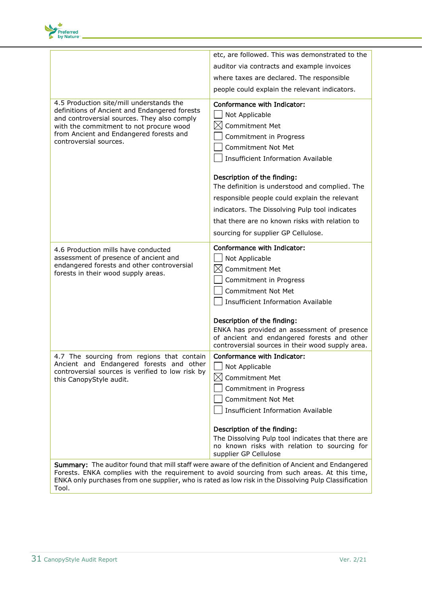

|                                                                                                                                                                                                                                                          | etc, are followed. This was demonstrated to the                                                                                                                                                                                                                                                                                                                                                                                                  |
|----------------------------------------------------------------------------------------------------------------------------------------------------------------------------------------------------------------------------------------------------------|--------------------------------------------------------------------------------------------------------------------------------------------------------------------------------------------------------------------------------------------------------------------------------------------------------------------------------------------------------------------------------------------------------------------------------------------------|
|                                                                                                                                                                                                                                                          | auditor via contracts and example invoices                                                                                                                                                                                                                                                                                                                                                                                                       |
|                                                                                                                                                                                                                                                          | where taxes are declared. The responsible                                                                                                                                                                                                                                                                                                                                                                                                        |
|                                                                                                                                                                                                                                                          | people could explain the relevant indicators.                                                                                                                                                                                                                                                                                                                                                                                                    |
| 4.5 Production site/mill understands the<br>definitions of Ancient and Endangered forests<br>and controversial sources. They also comply<br>with the commitment to not procure wood<br>from Ancient and Endangered forests and<br>controversial sources. | Conformance with Indicator:<br>Not Applicable<br>Commitment Met<br>Commitment in Progress<br><b>Commitment Not Met</b><br><b>Insufficient Information Available</b><br>Description of the finding:<br>The definition is understood and complied. The<br>responsible people could explain the relevant<br>indicators. The Dissolving Pulp tool indicates<br>that there are no known risks with relation to<br>sourcing for supplier GP Cellulose. |
| 4.6 Production mills have conducted<br>assessment of presence of ancient and<br>endangered forests and other controversial<br>forests in their wood supply areas.                                                                                        | Conformance with Indicator:<br>Not Applicable<br>$\boxtimes$<br><b>Commitment Met</b><br>Commitment in Progress<br><b>Commitment Not Met</b><br><b>Insufficient Information Available</b><br>Description of the finding:<br>ENKA has provided an assessment of presence<br>of ancient and endangered forests and other<br>controversial sources in their wood supply area.                                                                       |
| 4.7 The sourcing from regions that contain<br>Ancient and Endangered forests and other<br>controversial sources is verified to low risk by<br>this CanopyStyle audit.                                                                                    | Conformance with Indicator:<br>$\Box$ Not Applicable<br><b>Commitment Met</b><br>$\boxtimes$<br>Commitment in Progress<br><b>Commitment Not Met</b><br><b>Insufficient Information Available</b><br>Description of the finding:<br>The Dissolving Pulp tool indicates that there are<br>no known risks with relation to sourcing for<br>supplier GP Cellulose                                                                                    |
| Summary: The auditor found that mill staff were aware of the definition of Ancient and Endangered<br>Forests. ENKA complies with the requirement to avoid sourcing from such areas. At this time,                                                        |                                                                                                                                                                                                                                                                                                                                                                                                                                                  |

ENKA only purchases from one supplier, who is rated as low risk in the Dissolving Pulp Classification Tool.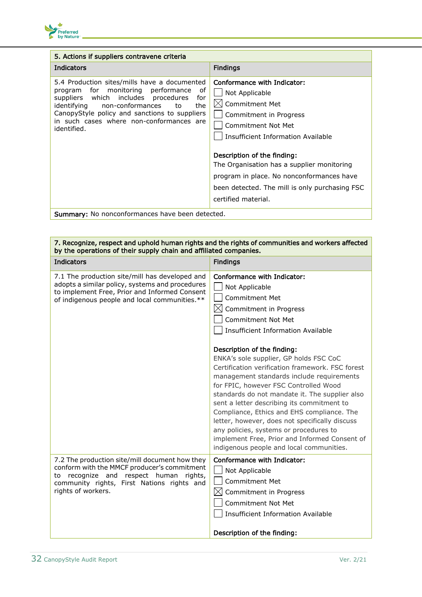

| 5. Actions if suppliers contravene criteria                                                                                                                                                                                                                                                         |                                                                                                                                                                                                                                                                                                                                                                 |
|-----------------------------------------------------------------------------------------------------------------------------------------------------------------------------------------------------------------------------------------------------------------------------------------------------|-----------------------------------------------------------------------------------------------------------------------------------------------------------------------------------------------------------------------------------------------------------------------------------------------------------------------------------------------------------------|
| <b>Indicators</b>                                                                                                                                                                                                                                                                                   | <b>Findings</b>                                                                                                                                                                                                                                                                                                                                                 |
| 5.4 Production sites/mills have a documented<br>program for monitoring performance<br>.of<br>suppliers which includes procedures<br>for<br>identifying<br>non-conformances<br>the<br>to<br>CanopyStyle policy and sanctions to suppliers<br>in such cases where non-conformances are<br>identified. | Conformance with Indicator:<br>Not Applicable<br><b>Commitment Met</b><br>Commitment in Progress<br>Commitment Not Met<br>Insufficient Information Available<br>Description of the finding:<br>The Organisation has a supplier monitoring<br>program in place. No nonconformances have<br>been detected. The mill is only purchasing FSC<br>certified material. |
| Summary: No nonconformances have been detected.                                                                                                                                                                                                                                                     |                                                                                                                                                                                                                                                                                                                                                                 |

#### 7. Recognize, respect and uphold human rights and the rights of communities and workers affected by the operations of their supply chain and affiliated companies. Indicators **Findings** 7.1 The production site/mill has developed and adopts a similar policy, systems and procedures to implement Free, Prior and Informed Consent of indigenous people and local communities.\*\* Conformance with Indicator: | Not Applicable | Commitment Met  $\boxtimes$  Commitment in Progress Commitment Not Met  $\Box$  Insufficient Information Available Description of the finding: ENKA's sole supplier, GP holds FSC CoC Certification verification framework. FSC forest management standards include requirements for FPIC, however FSC Controlled Wood standards do not mandate it. The supplier also sent a letter describing its commitment to Compliance, Ethics and EHS compliance. The letter, however, does not specifically discuss any policies, systems or procedures to implement Free, Prior and Informed Consent of indigenous people and local communities. 7.2 The production site/mill document how they conform with the MMCF producer's commitment to recognize and respect human rights, community rights, First Nations rights and rights of workers. Conformance with Indicator:  $\Box$  Not Applicable Commitment Met  $\boxtimes$  Commitment in Progress  $\Box$  Commitment Not Met Insufficient Information Available Description of the finding: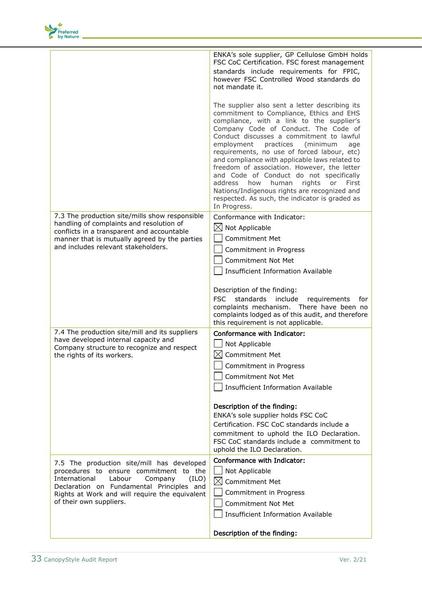

|                                                                                                                                                                                                                                                               | ENKA's sole supplier, GP Cellulose GmbH holds<br>FSC CoC Certification. FSC forest management<br>standards include requirements for FPIC,<br>however FSC Controlled Wood standards do<br>not mandate it.                                                                                                                                                                                                                                                                                                                                                                                                                                   |
|---------------------------------------------------------------------------------------------------------------------------------------------------------------------------------------------------------------------------------------------------------------|--------------------------------------------------------------------------------------------------------------------------------------------------------------------------------------------------------------------------------------------------------------------------------------------------------------------------------------------------------------------------------------------------------------------------------------------------------------------------------------------------------------------------------------------------------------------------------------------------------------------------------------------|
|                                                                                                                                                                                                                                                               | The supplier also sent a letter describing its<br>commitment to Compliance, Ethics and EHS<br>compliance, with a link to the supplier's<br>Company Code of Conduct. The Code of<br>Conduct discusses a commitment to lawful<br>practices<br>employment<br>(minimum<br>age<br>requirements, no use of forced labour, etc)<br>and compliance with applicable laws related to<br>freedom of association. However, the letter<br>and Code of Conduct do not specifically<br>address<br>how<br>human<br>rights<br>or<br>First<br>Nations/Indigenous rights are recognized and<br>respected. As such, the indicator is graded as<br>In Progress. |
| 7.3 The production site/mills show responsible<br>handling of complaints and resolution of<br>conflicts in a transparent and accountable<br>manner that is mutually agreed by the parties<br>and includes relevant stakeholders.                              | Conformance with Indicator:<br>$\boxtimes$ Not Applicable<br><b>Commitment Met</b><br>Commitment in Progress<br><b>Commitment Not Met</b><br><b>Insufficient Information Available</b>                                                                                                                                                                                                                                                                                                                                                                                                                                                     |
|                                                                                                                                                                                                                                                               | Description of the finding:<br><b>FSC</b><br>standards<br>include<br>requirements<br>for<br>complaints mechanism. There have been no<br>complaints lodged as of this audit, and therefore<br>this requirement is not applicable.                                                                                                                                                                                                                                                                                                                                                                                                           |
| 7.4 The production site/mill and its suppliers<br>have developed internal capacity and<br>Company structure to recognize and respect<br>the rights of its workers.                                                                                            | Conformance with Indicator:<br>Not Applicable<br>$\boxtimes$<br><b>Commitment Met</b><br>Commitment in Progress<br>Commitment Not Met<br><b>Insufficient Information Available</b>                                                                                                                                                                                                                                                                                                                                                                                                                                                         |
|                                                                                                                                                                                                                                                               | Description of the finding:<br>ENKA's sole supplier holds FSC CoC<br>Certification. FSC CoC standards include a<br>commitment to uphold the ILO Declaration.<br>FSC CoC standards include a commitment to<br>uphold the ILO Declaration.                                                                                                                                                                                                                                                                                                                                                                                                   |
| 7.5 The production site/mill has developed<br>procedures to ensure commitment to the<br>International<br>Labour<br>Company<br>(ILO)<br>Declaration on Fundamental Principles and<br>Rights at Work and will require the equivalent<br>of their own suppliers. | Conformance with Indicator:<br>Not Applicable<br>$\bowtie$<br><b>Commitment Met</b><br>Commitment in Progress<br><b>Commitment Not Met</b><br><b>Insufficient Information Available</b>                                                                                                                                                                                                                                                                                                                                                                                                                                                    |
|                                                                                                                                                                                                                                                               | Description of the finding:                                                                                                                                                                                                                                                                                                                                                                                                                                                                                                                                                                                                                |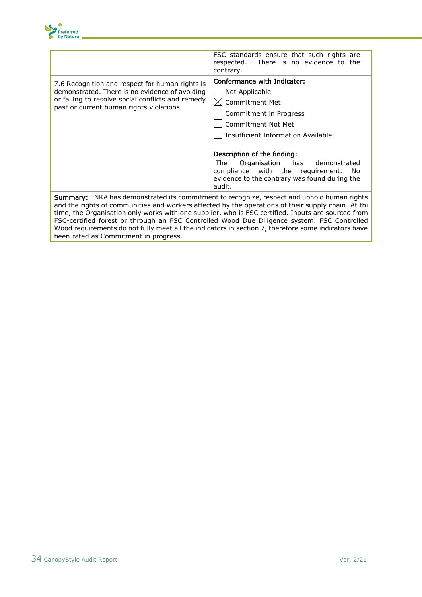

|                                                                                                                                                                                                                                                                                                                                                                                                                                                                                                                                                               | FSC standards ensure that such rights are<br>There is no evidence to the<br>respected.<br>contrary.                                                                                                                                                                                                                                                         |
|---------------------------------------------------------------------------------------------------------------------------------------------------------------------------------------------------------------------------------------------------------------------------------------------------------------------------------------------------------------------------------------------------------------------------------------------------------------------------------------------------------------------------------------------------------------|-------------------------------------------------------------------------------------------------------------------------------------------------------------------------------------------------------------------------------------------------------------------------------------------------------------------------------------------------------------|
| 7.6 Recognition and respect for human rights is<br>demonstrated. There is no evidence of avoiding<br>or failing to resolve social conflicts and remedy<br>past or current human rights violations.                                                                                                                                                                                                                                                                                                                                                            | Conformance with Indicator:<br>Not Applicable<br>$\boxtimes$ Commitment Met<br>Commitment in Progress<br><b>Commitment Not Met</b><br>Insufficient Information Available<br>Description of the finding:<br>Organisation<br>has<br>The<br>demonstrated<br>compliance with the requirement.<br>No.<br>evidence to the contrary was found during the<br>audit. |
| <b>Summary:</b> ENKA has demonstrated its commitment to recognize, respect and uphold human rights<br>and the rights of communities and workers affected by the operations of their supply chain. At thi<br>time, the Organisation only works with one supplier, who is FSC certified. Inputs are sourced from<br>FSC-certified forest or through an FSC Controlled Wood Due Diligence system. FSC Controlled<br>Wood requirements do not fully meet all the indicators in section 7, therefore some indicators have<br>been rated as Commitment in progress. |                                                                                                                                                                                                                                                                                                                                                             |